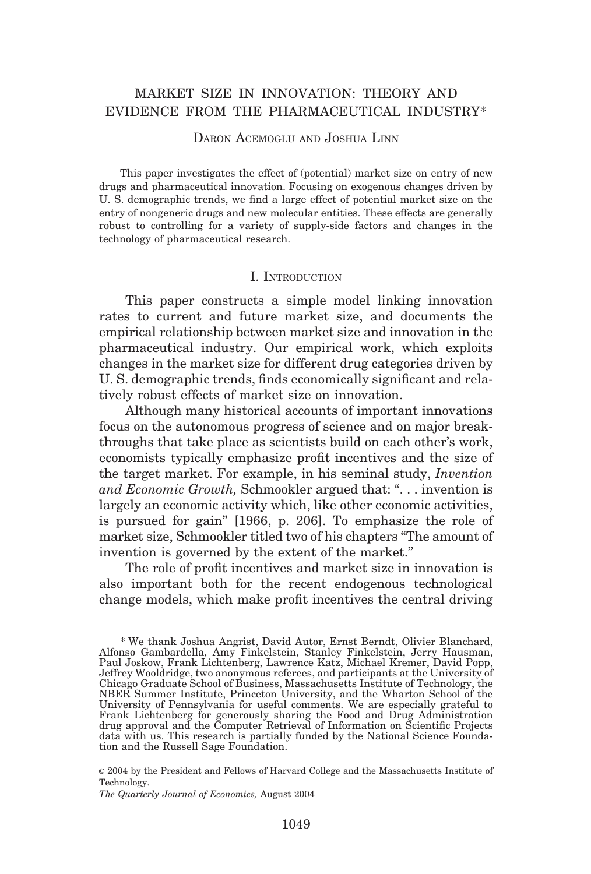# MARKET SIZE IN INNOVATION: THEORY AND EVIDENCE FROM THE PHARMACEUTICAL INDUSTRY\*

### DARON ACEMOGLU AND JOSHUA LINN

This paper investigates the effect of (potential) market size on entry of new drugs and pharmaceutical innovation. Focusing on exogenous changes driven by U. S. demographic trends, we find a large effect of potential market size on the entry of nongeneric drugs and new molecular entities. These effects are generally robust to controlling for a variety of supply-side factors and changes in the technology of pharmaceutical research.

### I. INTRODUCTION

This paper constructs a simple model linking innovation rates to current and future market size, and documents the empirical relationship between market size and innovation in the pharmaceutical industry. Our empirical work, which exploits changes in the market size for different drug categories driven by U. S. demographic trends, finds economically significant and relatively robust effects of market size on innovation.

Although many historical accounts of important innovations focus on the autonomous progress of science and on major breakthroughs that take place as scientists build on each other's work, economists typically emphasize profit incentives and the size of the target market. For example, in his seminal study, *Invention and Economic Growth,* Schmookler argued that: ". . . invention is largely an economic activity which, like other economic activities, is pursued for gain" [1966, p. 206]. To emphasize the role of market size, Schmookler titled two of his chapters "The amount of invention is governed by the extent of the market."

The role of profit incentives and market size in innovation is also important both for the recent endogenous technological change models, which make profit incentives the central driving

<sup>\*</sup> We thank Joshua Angrist, David Autor, Ernst Berndt, Olivier Blanchard, Alfonso Gambardella, Amy Finkelstein, Stanley Finkelstein, Jerry Hausman, Paul Joskow, Frank Lichtenberg, Lawrence Katz, Michael Kremer, David Popp, Jeffrey Wooldridge, two anonymous referees, and participants at the University of Chicago Graduate School of Business, Massachusetts Institute of Technology, the NBER Summer Institute, Princeton University, and the Wharton School of the University of Pennsylvania for useful comments. We are especially grateful to Frank Lichtenberg for generously sharing the Food and Drug Administration drug approval and the Computer Retrieval of Information on Scientific Projects data with us. This research is partially funded by the National Science Foundation and the Russell Sage Foundation.

<sup>©</sup> 2004 by the President and Fellows of Harvard College and the Massachusetts Institute of Technology.

*The Quarterly Journal of Economics,* August 2004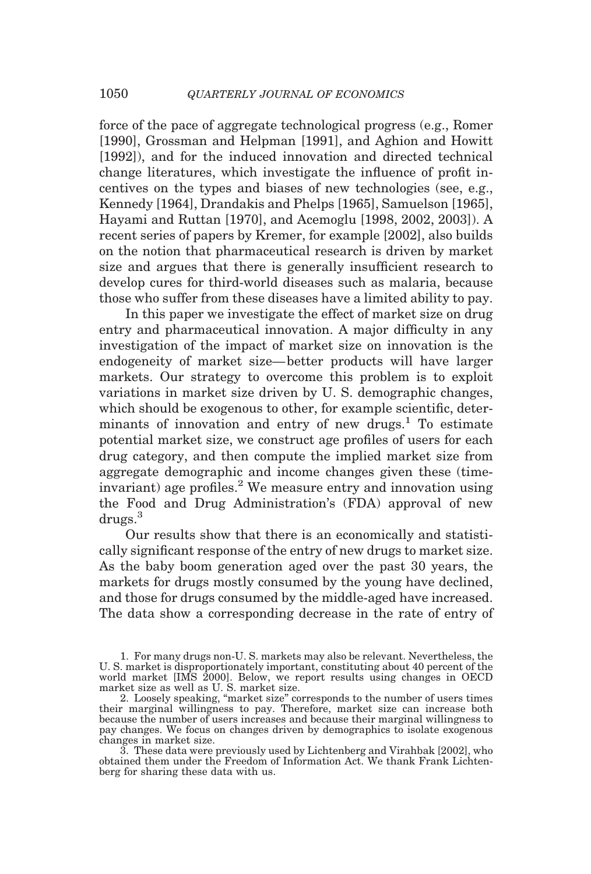force of the pace of aggregate technological progress (e.g., Romer [1990], Grossman and Helpman [1991], and Aghion and Howitt [1992]), and for the induced innovation and directed technical change literatures, which investigate the influence of profit incentives on the types and biases of new technologies (see, e.g., Kennedy [1964], Drandakis and Phelps [1965], Samuelson [1965], Hayami and Ruttan [1970], and Acemoglu [1998, 2002, 2003]). A recent series of papers by Kremer, for example [2002], also builds on the notion that pharmaceutical research is driven by market size and argues that there is generally insufficient research to develop cures for third-world diseases such as malaria, because those who suffer from these diseases have a limited ability to pay.

In this paper we investigate the effect of market size on drug entry and pharmaceutical innovation. A major difficulty in any investigation of the impact of market size on innovation is the endogeneity of market size—better products will have larger markets. Our strategy to overcome this problem is to exploit variations in market size driven by U. S. demographic changes, which should be exogenous to other, for example scientific, determinants of innovation and entry of new drugs.<sup>1</sup> To estimate potential market size, we construct age profiles of users for each drug category, and then compute the implied market size from aggregate demographic and income changes given these (timeinvariant) age profiles.<sup>2</sup> We measure entry and innovation using the Food and Drug Administration's (FDA) approval of new drugs.<sup>3</sup>

Our results show that there is an economically and statistically significant response of the entry of new drugs to market size. As the baby boom generation aged over the past 30 years, the markets for drugs mostly consumed by the young have declined, and those for drugs consumed by the middle-aged have increased. The data show a corresponding decrease in the rate of entry of

<sup>1.</sup> For many drugs non-U. S. markets may also be relevant. Nevertheless, the U. S. market is disproportionately important, constituting about 40 percent of the world market [IMS 2000]. Below, we report results using changes in OECD market size as well as U. S. market size.

<sup>2.</sup> Loosely speaking, "market size" corresponds to the number of users times their marginal willingness to pay. Therefore, market size can increase both because the number of users increases and because their marginal willingness to pay changes. We focus on changes driven by demographics to isolate exogenous changes in market size.

<sup>3.</sup> These data were previously used by Lichtenberg and Virahbak [2002], who obtained them under the Freedom of Information Act. We thank Frank Lichtenberg for sharing these data with us.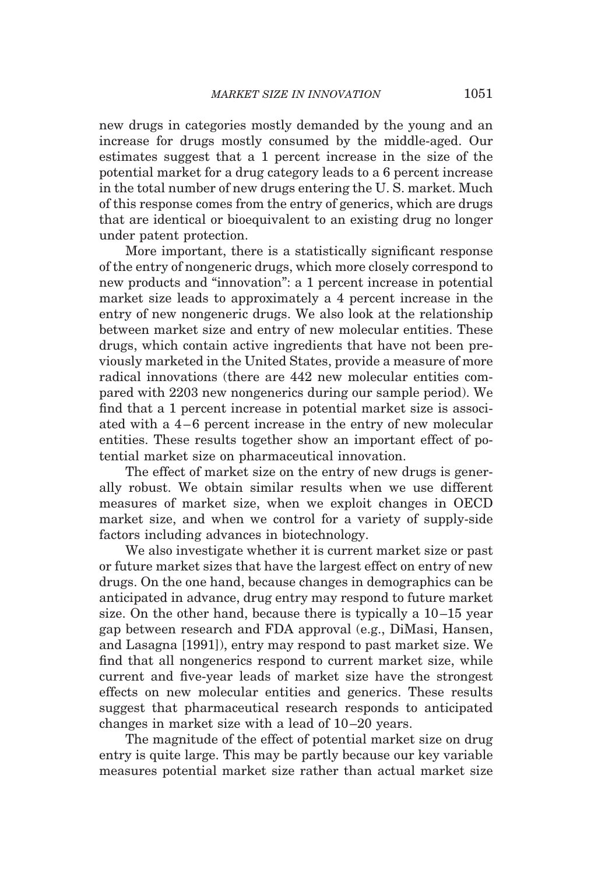new drugs in categories mostly demanded by the young and an increase for drugs mostly consumed by the middle-aged. Our estimates suggest that a 1 percent increase in the size of the potential market for a drug category leads to a 6 percent increase in the total number of new drugs entering the U. S. market. Much of this response comes from the entry of generics, which are drugs that are identical or bioequivalent to an existing drug no longer under patent protection.

More important, there is a statistically significant response of the entry of nongeneric drugs, which more closely correspond to new products and "innovation": a 1 percent increase in potential market size leads to approximately a 4 percent increase in the entry of new nongeneric drugs. We also look at the relationship between market size and entry of new molecular entities. These drugs, which contain active ingredients that have not been previously marketed in the United States, provide a measure of more radical innovations (there are 442 new molecular entities compared with 2203 new nongenerics during our sample period). We find that a 1 percent increase in potential market size is associated with a 4–6 percent increase in the entry of new molecular entities. These results together show an important effect of potential market size on pharmaceutical innovation.

The effect of market size on the entry of new drugs is generally robust. We obtain similar results when we use different measures of market size, when we exploit changes in OECD market size, and when we control for a variety of supply-side factors including advances in biotechnology.

We also investigate whether it is current market size or past or future market sizes that have the largest effect on entry of new drugs. On the one hand, because changes in demographics can be anticipated in advance, drug entry may respond to future market size. On the other hand, because there is typically a 10–15 year gap between research and FDA approval (e.g., DiMasi, Hansen, and Lasagna [1991]), entry may respond to past market size. We find that all nongenerics respond to current market size, while current and five-year leads of market size have the strongest effects on new molecular entities and generics. These results suggest that pharmaceutical research responds to anticipated changes in market size with a lead of 10–20 years.

The magnitude of the effect of potential market size on drug entry is quite large. This may be partly because our key variable measures potential market size rather than actual market size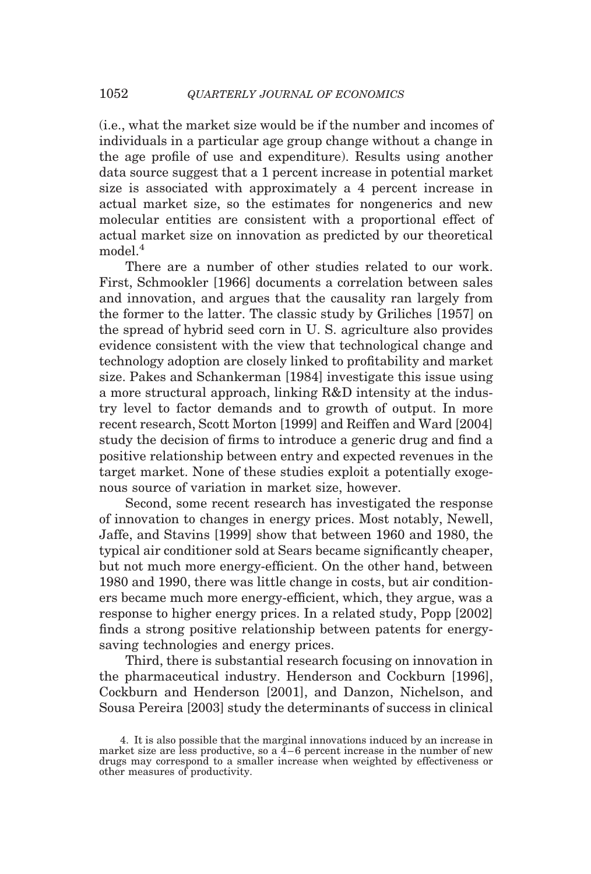(i.e., what the market size would be if the number and incomes of individuals in a particular age group change without a change in the age profile of use and expenditure). Results using another data source suggest that a 1 percent increase in potential market size is associated with approximately a 4 percent increase in actual market size, so the estimates for nongenerics and new molecular entities are consistent with a proportional effect of actual market size on innovation as predicted by our theoretical model $4$ 

There are a number of other studies related to our work. First, Schmookler [1966] documents a correlation between sales and innovation, and argues that the causality ran largely from the former to the latter. The classic study by Griliches [1957] on the spread of hybrid seed corn in U. S. agriculture also provides evidence consistent with the view that technological change and technology adoption are closely linked to profitability and market size. Pakes and Schankerman [1984] investigate this issue using a more structural approach, linking R&D intensity at the industry level to factor demands and to growth of output. In more recent research, Scott Morton [1999] and Reiffen and Ward [2004] study the decision of firms to introduce a generic drug and find a positive relationship between entry and expected revenues in the target market. None of these studies exploit a potentially exogenous source of variation in market size, however.

Second, some recent research has investigated the response of innovation to changes in energy prices. Most notably, Newell, Jaffe, and Stavins [1999] show that between 1960 and 1980, the typical air conditioner sold at Sears became significantly cheaper, but not much more energy-efficient. On the other hand, between 1980 and 1990, there was little change in costs, but air conditioners became much more energy-efficient, which, they argue, was a response to higher energy prices. In a related study, Popp [2002] finds a strong positive relationship between patents for energysaving technologies and energy prices.

Third, there is substantial research focusing on innovation in the pharmaceutical industry. Henderson and Cockburn [1996], Cockburn and Henderson [2001], and Danzon, Nichelson, and Sousa Pereira [2003] study the determinants of success in clinical

<sup>4.</sup> It is also possible that the marginal innovations induced by an increase in market size are less productive, so a 4–6 percent increase in the number of new drugs may correspond to a smaller increase when weighted by effectiveness or other measures of productivity.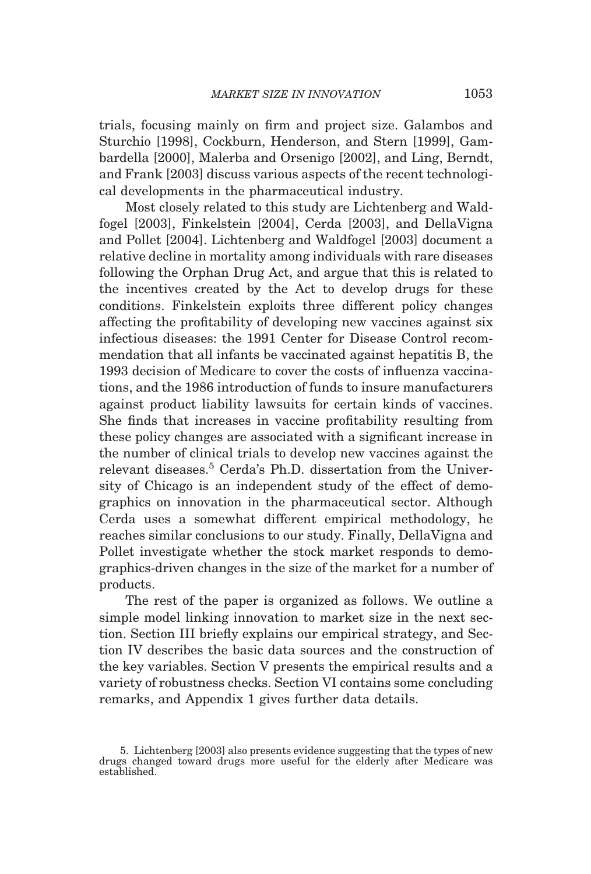trials, focusing mainly on firm and project size. Galambos and Sturchio [1998], Cockburn, Henderson, and Stern [1999], Gambardella [2000], Malerba and Orsenigo [2002], and Ling, Berndt, and Frank [2003] discuss various aspects of the recent technological developments in the pharmaceutical industry.

Most closely related to this study are Lichtenberg and Waldfogel [2003], Finkelstein [2004], Cerda [2003], and DellaVigna and Pollet [2004]. Lichtenberg and Waldfogel [2003] document a relative decline in mortality among individuals with rare diseases following the Orphan Drug Act, and argue that this is related to the incentives created by the Act to develop drugs for these conditions. Finkelstein exploits three different policy changes affecting the profitability of developing new vaccines against six infectious diseases: the 1991 Center for Disease Control recommendation that all infants be vaccinated against hepatitis B, the 1993 decision of Medicare to cover the costs of influenza vaccinations, and the 1986 introduction of funds to insure manufacturers against product liability lawsuits for certain kinds of vaccines. She finds that increases in vaccine profitability resulting from these policy changes are associated with a significant increase in the number of clinical trials to develop new vaccines against the relevant diseases.<sup>5</sup> Cerda's Ph.D. dissertation from the University of Chicago is an independent study of the effect of demographics on innovation in the pharmaceutical sector. Although Cerda uses a somewhat different empirical methodology, he reaches similar conclusions to our study. Finally, DellaVigna and Pollet investigate whether the stock market responds to demographics-driven changes in the size of the market for a number of products.

The rest of the paper is organized as follows. We outline a simple model linking innovation to market size in the next section. Section III briefly explains our empirical strategy, and Section IV describes the basic data sources and the construction of the key variables. Section V presents the empirical results and a variety of robustness checks. Section VI contains some concluding remarks, and Appendix 1 gives further data details.

<sup>5.</sup> Lichtenberg [2003] also presents evidence suggesting that the types of new drugs changed toward drugs more useful for the elderly after Medicare was established.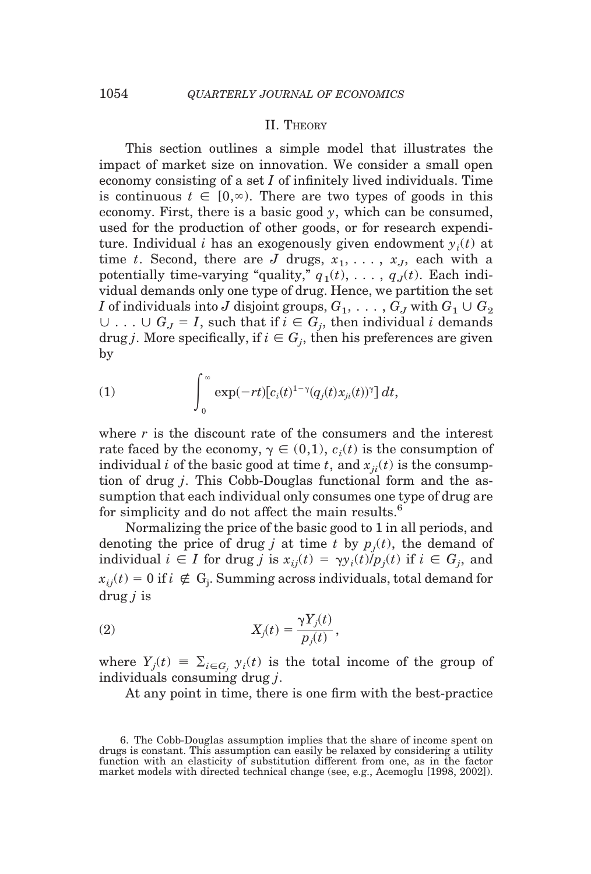### II. THEORY

This section outlines a simple model that illustrates the impact of market size on innovation. We consider a small open economy consisting of a set *I* of infinitely lived individuals. Time is continuous  $t \in [0,\infty)$ . There are two types of goods in this economy. First, there is a basic good *y*, which can be consumed, used for the production of other goods, or for research expenditure. Individual *i* has an exogenously given endowment  $y_i(t)$  at time *t*. Second, there are *J* drugs,  $x_1, \ldots, x_J$ , each with a potentially time-varying "quality,"  $q_1(t), \ldots, q_J(t)$ . Each individual demands only one type of drug. Hence, we partition the set *I* of individuals into *J* disjoint groups,  $G_1, \ldots, G_J$  with  $G_1 \cup G_2$  $\cup$  ...  $\cup$   $G_J$  = *I*, such that if  $i \in G_j$ , then individual *i* demands drug *j*. More specifically, if  $i \in G_i$ , then his preferences are given by

(1) 
$$
\int_0^\infty \exp(-rt)[c_i(t)^{1-\gamma}(q_j(t)x_{ji}(t))^{\gamma}] dt,
$$

where *r* is the discount rate of the consumers and the interest rate faced by the economy,  $\gamma \in (0,1)$ ,  $c_i(t)$  is the consumption of individual *i* of the basic good at time *t*, and  $x_{ji}(t)$  is the consumption of drug *j*. This Cobb-Douglas functional form and the assumption that each individual only consumes one type of drug are for simplicity and do not affect the main results.<sup>6</sup>

Normalizing the price of the basic good to 1 in all periods, and denoting the price of drug *j* at time *t* by  $p_i(t)$ , the demand of individual  $i \in I$  for drug  $j$  is  $x_{ij}(t) = \gamma y_i(t)/p_j(t)$  if  $i \in G_j$ , and  $x_{ij}(t) = 0$  if  $i \notin G_j$ . Summing across individuals, total demand for drug *j* is

(2) 
$$
X_j(t) = \frac{\gamma Y_j(t)}{p_j(t)},
$$

where  $Y_i(t) = \sum_{i \in G_i} y_i(t)$  is the total income of the group of individuals consuming drug *j*.

At any point in time, there is one firm with the best-practice

<sup>6.</sup> The Cobb-Douglas assumption implies that the share of income spent on drugs is constant. This assumption can easily be relaxed by considering a utility function with an elasticity of substitution different from one, as in the factor market models with directed technical change (see, e.g., Acemoglu [1998, 2002]).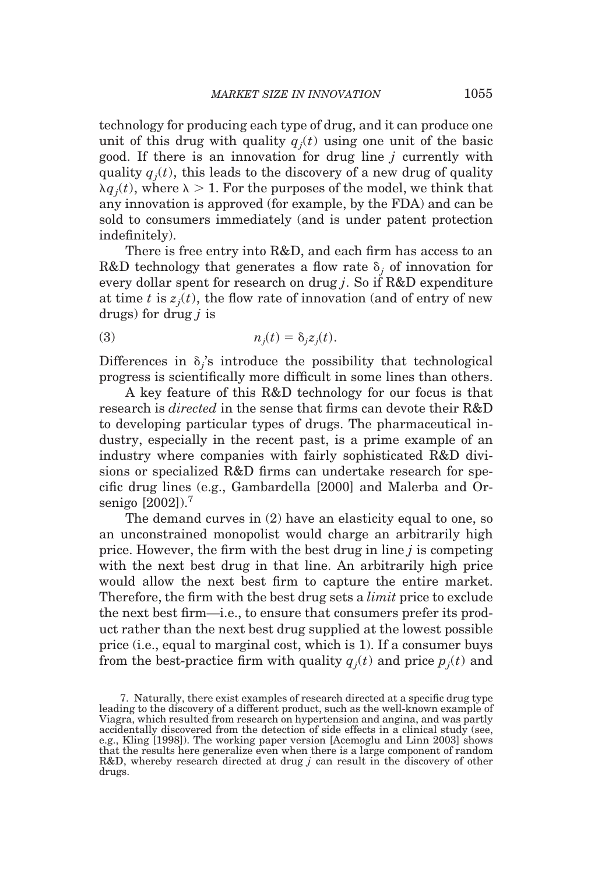technology for producing each type of drug, and it can produce one unit of this drug with quality  $q_i(t)$  using one unit of the basic good. If there is an innovation for drug line *j* currently with quality  $q_i(t)$ , this leads to the discovery of a new drug of quality  $\lambda q_j(t)$ , where  $\lambda \geq 1.$  For the purposes of the model, we think that any innovation is approved (for example, by the FDA) and can be sold to consumers immediately (and is under patent protection indefinitely).

There is free entry into R&D, and each firm has access to an R&D technology that generates a flow rate  $\delta_i$  of innovation for every dollar spent for research on drug *j*. So if R&D expenditure at time  $t$  is  $z_j(t)$ , the flow rate of innovation (and of entry of new drugs) for drug *j* is

(3) 
$$
n_j(t) = \delta_j z_j(t).
$$

Differences in  $\delta_i$ 's introduce the possibility that technological progress is scientifically more difficult in some lines than others.

A key feature of this R&D technology for our focus is that research is *directed* in the sense that firms can devote their R&D to developing particular types of drugs. The pharmaceutical industry, especially in the recent past, is a prime example of an industry where companies with fairly sophisticated R&D divisions or specialized R&D firms can undertake research for specific drug lines (e.g., Gambardella [2000] and Malerba and Orsenigo [2002]).<sup>7</sup>

The demand curves in (2) have an elasticity equal to one, so an unconstrained monopolist would charge an arbitrarily high price. However, the firm with the best drug in line *j* is competing with the next best drug in that line. An arbitrarily high price would allow the next best firm to capture the entire market. Therefore, the firm with the best drug sets a *limit* price to exclude the next best firm—i.e., to ensure that consumers prefer its product rather than the next best drug supplied at the lowest possible price (i.e., equal to marginal cost, which is 1). If a consumer buys from the best-practice firm with quality  $q_i(t)$  and price  $p_i(t)$  and

<sup>7.</sup> Naturally, there exist examples of research directed at a specific drug type leading to the discovery of a different product, such as the well-known example of Viagra, which resulted from research on hypertension and angina, and was partly accidentally discovered from the detection of side effects in a clinical study (see, e.g., Kling [1998]). The working paper version [Acemoglu and Linn 2003] shows that the results here generalize even when there is a large component of random R&D, whereby research directed at drug *j* can result in the discovery of other drugs.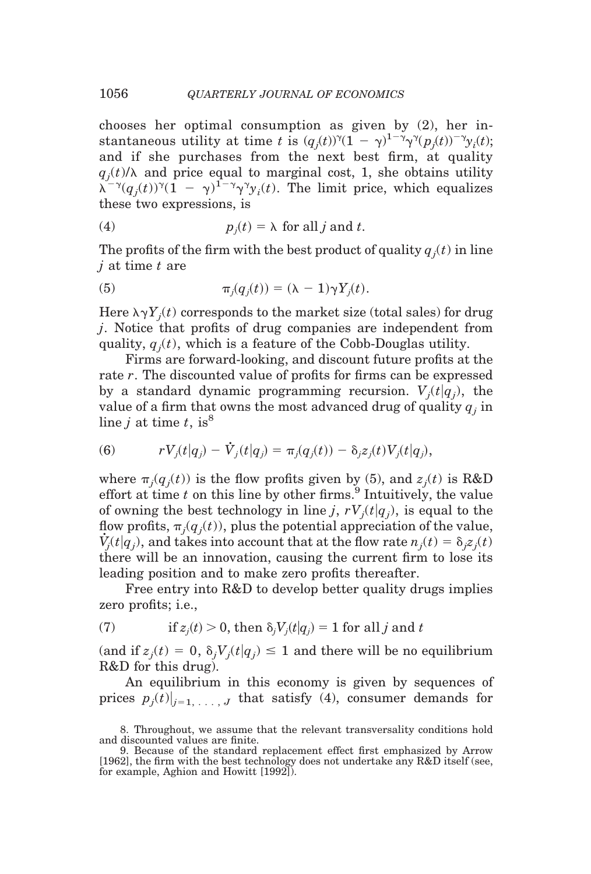chooses her optimal consumption as given by (2), her instantaneous utility at time *t* is  $(q_j(t))$ <sup> $\gamma$ </sup>(1 -  $\gamma$ )<sup>1- $\gamma$ </sup> $\gamma$ <sup> $\gamma$ </sup> $(p_j(t))$ <sup>- $\gamma$ </sup> $y_i(t)$ ; and if she purchases from the next best firm, at quality  $q_j(t)$  and price equal to marginal cost, 1, she obtains utility  $\lambda^{-\gamma}(q_j(t))^{\gamma} (1 - \gamma)^{1-\gamma} \gamma^{\gamma} y_i(t)$ . The limit price, which equalizes these two expressions, is

(4) 
$$
p_j(t) = \lambda \text{ for all } j \text{ and } t.
$$

The profits of the firm with the best product of quality  $q_i(t)$  in line *j* at time *t* are

(5) 
$$
\pi_j(q_j(t)) = (\lambda - 1)\gamma Y_j(t).
$$

Here  $\lambda \gamma Y_j(t)$  corresponds to the market size (total sales) for drug *j*. Notice that profits of drug companies are independent from quality,  $q_i(t)$ , which is a feature of the Cobb-Douglas utility.

Firms are forward-looking, and discount future profits at the rate *r*. The discounted value of profits for firms can be expressed by a standard dynamic programming recursion.  $V_j(t|q_j)$ , the value of a firm that owns the most advanced drug of quality  $q_i$  in line *j* at time *t*, is<sup>8</sup>

(6) 
$$
rV_j(t|q_j) - \dot{V}_j(t|q_j) = \pi_j(q_j(t)) - \delta_j z_j(t) V_j(t|q_j),
$$

where  $\pi_i(q_i(t))$  is the flow profits given by (5), and  $z_i(t)$  is R&D effort at time  $t$  on this line by other firms.<sup>9</sup> Intuitively, the value of owning the best technology in line *j*,  $rV_j(t|q_j)$ , is equal to the flow profits,  $\pi_i(q_i(t))$ , plus the potential appreciation of the value,  $\dot{V}_j(t|q_j)$ , and takes into account that at the flow rate  $n_j(t) = \delta_j z_j(t)$ there will be an innovation, causing the current firm to lose its leading position and to make zero profits thereafter.

Free entry into R&D to develop better quality drugs implies zero profits; i.e.,

(7) if 
$$
z_j(t) > 0
$$
, then  $\delta_j V_j(t|q_j) = 1$  for all j and t

 $(\text{and if } z_j(t) = 0, \delta_j V_j(t|q_j) \leq 1 \text{ and there will be no equilibrium})$ R&D for this drug).

An equilibrium in this economy is given by sequences of  $\left. \mathit{p}_j(t) \right|_{j=1,\ldots,J}$  that satisfy (4), consumer demands for

<sup>8.</sup> Throughout, we assume that the relevant transversality conditions hold and discounted values are finite.

<sup>9.</sup> Because of the standard replacement effect first emphasized by Arrow [1962], the firm with the best technology does not undertake any R&D itself (see, for example, Aghion and Howitt [1992]).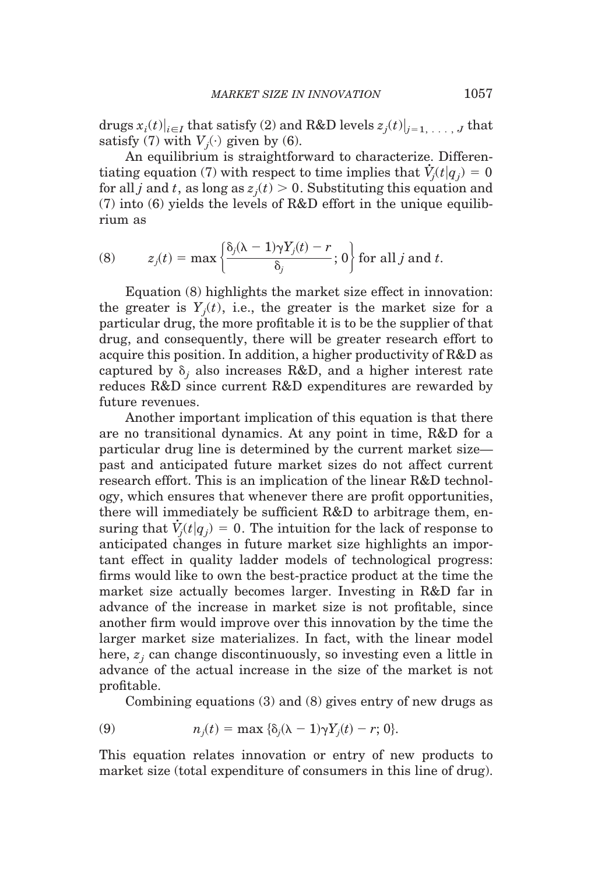$\text{drugs } x_i(t)|_{i \in I} \text{ that satisfy (2) and R&D levels } z_j(t)|_{j=1,\text{ } \dots \text{ , } J} \text{ that}$ satisfy (7) with  $V_j(\cdot)$  given by (6).

An equilibrium is straightforward to characterize. Differentiating equation (7) with respect to time implies that  $\dot{V}_j(t|q_j) = 0$ for all *j* and *t*, as long as  $z<sub>j</sub>(t) > 0$ . Substituting this equation and  $(7)$  into  $(6)$  yields the levels of R&D effort in the unique equilibrium as

(8) 
$$
z_j(t) = \max\left\{\frac{\delta_j(\lambda-1)\gamma Y_j(t)-r}{\delta_j}; 0\right\} \text{ for all } j \text{ and } t.
$$

Equation (8) highlights the market size effect in innovation: the greater is  $Y_i(t)$ , i.e., the greater is the market size for a particular drug, the more profitable it is to be the supplier of that drug, and consequently, there will be greater research effort to acquire this position. In addition, a higher productivity of R&D as captured by  $\delta_i$  also increases R&D, and a higher interest rate reduces R&D since current R&D expenditures are rewarded by future revenues.

Another important implication of this equation is that there are no transitional dynamics. At any point in time, R&D for a particular drug line is determined by the current market size past and anticipated future market sizes do not affect current research effort. This is an implication of the linear R&D technology, which ensures that whenever there are profit opportunities, there will immediately be sufficient R&D to arbitrage them, ensuring that  $\dot{V}_j(t|q_j) = 0$ . The intuition for the lack of response to anticipated changes in future market size highlights an important effect in quality ladder models of technological progress: firms would like to own the best-practice product at the time the market size actually becomes larger. Investing in R&D far in advance of the increase in market size is not profitable, since another firm would improve over this innovation by the time the larger market size materializes. In fact, with the linear model here, *zj* can change discontinuously, so investing even a little in advance of the actual increase in the size of the market is not profitable.

Combining equations (3) and (8) gives entry of new drugs as

(9) 
$$
n_j(t) = \max \{ \delta_j(\lambda - 1) \gamma Y_j(t) - r; 0 \}.
$$

This equation relates innovation or entry of new products to market size (total expenditure of consumers in this line of drug).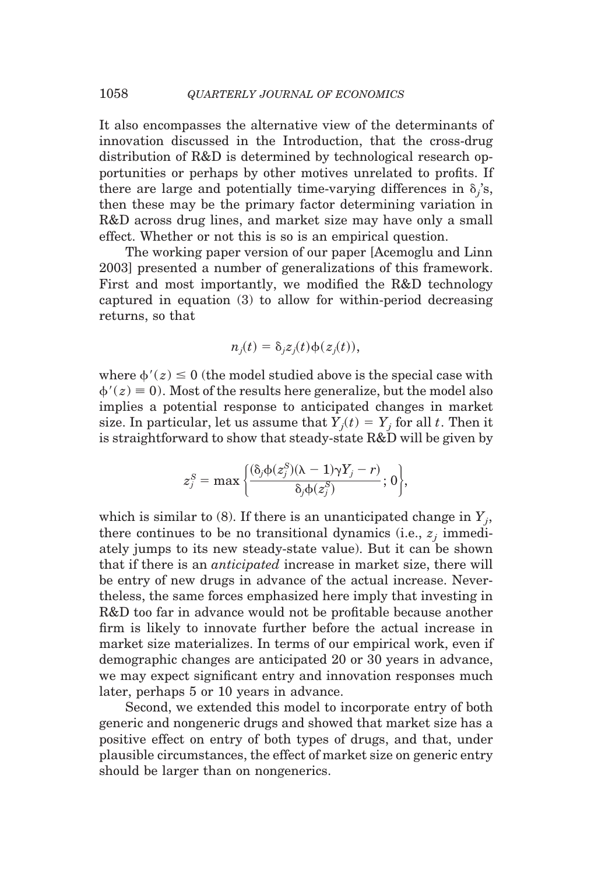It also encompasses the alternative view of the determinants of innovation discussed in the Introduction, that the cross-drug distribution of R&D is determined by technological research opportunities or perhaps by other motives unrelated to profits. If there are large and potentially time-varying differences in  $\delta_j$ 's, then these may be the primary factor determining variation in R&D across drug lines, and market size may have only a small effect. Whether or not this is so is an empirical question.

The working paper version of our paper [Acemoglu and Linn 2003] presented a number of generalizations of this framework. First and most importantly, we modified the R&D technology captured in equation (3) to allow for within-period decreasing returns, so that

$$
n_j(t) = \delta_j z_j(t) \phi(z_j(t)),
$$

where  $\phi'(z) \leq 0$  (the model studied above is the special case with  $\phi'(z) \equiv 0$ ). Most of the results here generalize, but the model also implies a potential response to anticipated changes in market size. In particular, let us assume that  $Y_j(t) = Y_j$  for all *t*. Then it is straightforward to show that steady-state R&D will be given by

$$
z_j^S = \max \bigg\{ \frac{(\delta_j \phi(z_j^S)(\lambda - 1)\gamma Y_j - r)}{\delta_j \phi(z_j^S)}; 0 \bigg\},\,
$$

which is similar to  $(8)$ . If there is an unanticipated change in  $Y_i$ , there continues to be no transitional dynamics (i.e.,  $z_j$  immediately jumps to its new steady-state value). But it can be shown that if there is an *anticipated* increase in market size, there will be entry of new drugs in advance of the actual increase. Nevertheless, the same forces emphasized here imply that investing in R&D too far in advance would not be profitable because another firm is likely to innovate further before the actual increase in market size materializes. In terms of our empirical work, even if demographic changes are anticipated 20 or 30 years in advance, we may expect significant entry and innovation responses much later, perhaps 5 or 10 years in advance.

Second, we extended this model to incorporate entry of both generic and nongeneric drugs and showed that market size has a positive effect on entry of both types of drugs, and that, under plausible circumstances, the effect of market size on generic entry should be larger than on nongenerics.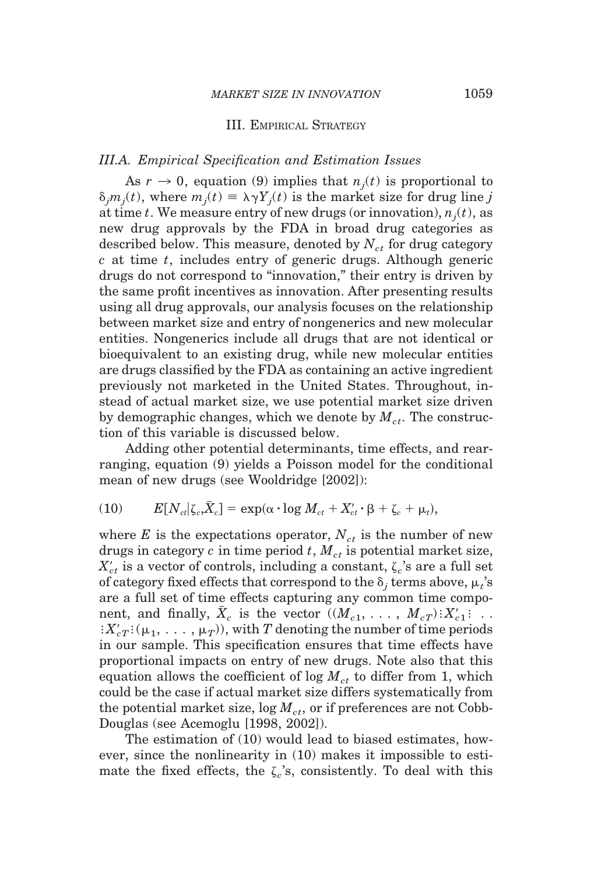## III. EMPIRICAL STRATEGY

# *III.A. Empirical Specification and Estimation Issues*

As  $r \to 0$ , equation (9) implies that  $n_i(t)$  is proportional to  $\delta_j m_j(t)$ , where  $m_j(t) \equiv \lambda \gamma Y_j(t)$  is the market size for drug line *j* at time *t*. We measure entry of new drugs (or innovation),  $n<sub>i</sub>(t)$ , as new drug approvals by the FDA in broad drug categories as described below. This measure, denoted by  $N_{ct}$  for drug category *c* at time *t*, includes entry of generic drugs. Although generic drugs do not correspond to "innovation," their entry is driven by the same profit incentives as innovation. After presenting results using all drug approvals, our analysis focuses on the relationship between market size and entry of nongenerics and new molecular entities. Nongenerics include all drugs that are not identical or bioequivalent to an existing drug, while new molecular entities are drugs classified by the FDA as containing an active ingredient previously not marketed in the United States. Throughout, instead of actual market size, we use potential market size driven by demographic changes, which we denote by  $M_{ct}$ . The construction of this variable is discussed below.

Adding other potential determinants, time effects, and rearranging, equation (9) yields a Poisson model for the conditional mean of new drugs (see Wooldridge [2002]):

(10) 
$$
E[N_{ct}|\zeta_c,\bar{X}_c] = \exp(\alpha \cdot \log M_{ct} + X_{ct}' \cdot \beta + \zeta_c + \mu_t),
$$

where  $E$  is the expectations operator,  $N_{ct}$  is the number of new drugs in category  $c$  in time period  $t$ ,  $M_{ct}$  is potential market size,  $X_{ct}'$  is a vector of controls, including a constant,  $\zeta_c$ 's are a full set of category fixed effects that correspond to the  $\delta_j$  terms above,  $\mu_i$ 's are a full set of time effects capturing any common time component, and finally,  $\bar{X}_c$  is the vector  $((M_{c1}, \ldots, M_{cT}); X'_{c1}; \ldots)$  $:X'_{cT}:(\mu_1,\ldots,\mu_T)$ , with *T* denoting the number of time periods in our sample. This specification ensures that time effects have proportional impacts on entry of new drugs. Note also that this equation allows the coefficient of  $\log M_{ct}$  to differ from 1, which could be the case if actual market size differs systematically from the potential market size,  $\log M_{ct}$ , or if preferences are not Cobb-Douglas (see Acemoglu [1998, 2002]).

The estimation of (10) would lead to biased estimates, however, since the nonlinearity in (10) makes it impossible to estimate the fixed effects, the  $\zeta_c$ 's, consistently. To deal with this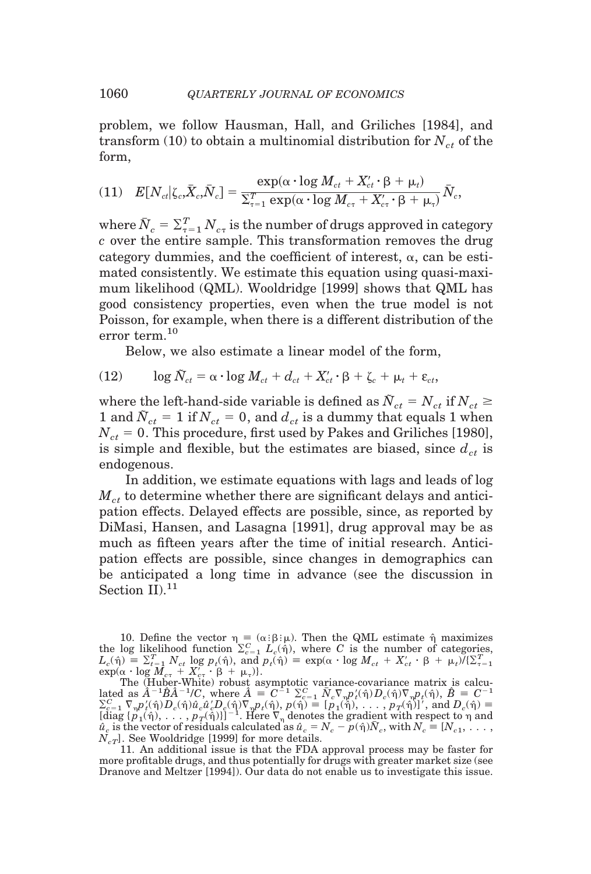problem, we follow Hausman, Hall, and Griliches [1984], and transform (10) to obtain a multinomial distribution for  $N_{ct}$  of the form,

$$
(11)\quad E[N_{ct}|\zeta_c,\bar{X}_c,\bar{N}_c] = \frac{\exp(\alpha \cdot \log M_{ct} + X_{ct}' \cdot \beta + \mu_t)}{\sum_{\tau=1}^T \exp(\alpha \cdot \log M_{ct} + X_{ct}' \cdot \beta + \mu_{\tau})} \bar{N}_c,
$$

where  $\bar{N}_c = \sum_{\tau=1}^T N_{c\tau}$  is the number of drugs approved in category *c* over the entire sample. This transformation removes the drug category dummies, and the coefficient of interest,  $\alpha$ , can be estimated consistently. We estimate this equation using quasi-maximum likelihood (QML). Wooldridge [1999] shows that QML has good consistency properties, even when the true model is not Poisson, for example, when there is a different distribution of the error term.10

Below, we also estimate a linear model of the form,

(12) 
$$
\log \tilde{N}_{ct} = \alpha \cdot \log M_{ct} + d_{ct} + X'_{ct} \cdot \beta + \zeta_c + \mu_t + \varepsilon_{ct},
$$

where the left-hand-side variable is defined as  $\tilde{N}_{ct} = N_{ct}$  if  $N_{ct} \ge$ 1 and  $\tilde{N}_{ct} = 1$  if  $N_{ct} = 0$ , and  $d_{ct}$  is a dummy that equals 1 when  $N_{ct}$  = 0. This procedure, first used by Pakes and Griliches [1980], is simple and flexible, but the estimates are biased, since  $d_{ct}$  is endogenous.

In addition, we estimate equations with lags and leads of log  $M_{ct}$  to determine whether there are significant delays and anticipation effects. Delayed effects are possible, since, as reported by DiMasi, Hansen, and Lasagna [1991], drug approval may be as much as fifteen years after the time of initial research. Anticipation effects are possible, since changes in demographics can be anticipated a long time in advance (see the discussion in Section II). $^{11}$ 

10. Define the vector  $η ≡ (α:β:μ)$ . Then the QML estimate  $\hat{η}$  maximizes the log likelihood function  $\Sigma_{c=1}^C L_c(\hat{η})$ , where *C* is the number of categories,  $L_c(\hat{\eta}) = \sum_{t=1}^T N_{ct} \log p_t(\hat{\eta})$ , and  $p_t(\hat{\eta}) = \exp(\alpha \cdot \log M_{ct} + X'_{ct} \cdot \beta + \mu_t)/(\sum_{t=1}^T T'_{t-1})$ 

 $\exp(\alpha \cdot \log M_{c\tau} + X'_{c\tau} \cdot \beta + \mu_{\tau})$ .<br>The (Huber-White) robust asymptotic variance-covariance matrix is calculated as  $\hat{A}^{-1}\hat{B}\hat{A}^{-1}/C$ , where  $\hat{A} = C^{-1} \sum_{c=1}^{C} \bar{N}_c \nabla_{\eta} p_i(\hat{\eta}) D_c(\hat{\eta}) \nabla_{\eta} p_i(\hat{\eta})$ ,  $\hat{B} =$  $\Sigma_{c=1}^C \nabla_{\eta} p_i'(\hat{\eta}) D_c(\hat{\eta}) \hat{u}_c \hat{u}_c' D_c(\hat{\eta}) \nabla_{\eta} p_i(\hat{\eta}), p(\hat{\eta}) = [p_1(\hat{\eta}), \ldots, p_T(\hat{\eta})]^{\dagger},$  and  $D_c(\hat{\eta}) = [\text{diag } [p_1(\hat{\eta}), \ldots, p_T(\hat{\eta})] ]^{-1}$ . Here  $\nabla_{\eta}$  denotes the gradient with respect to  $\eta$  and  $\hat{u}_c$  is the vector of residuals calculated as  $\hat{u}_c = N_c - p(\hat{\eta}) \bar{N}_c$ , with  $N_c \equiv [N_{c1},\ldots, N_c]$  $N_{cT}$ . See Wooldridge [1999] for more details.

11. An additional issue is that the FDA approval process may be faster for more profitable drugs, and thus potentially for drugs with greater market size (see Dranove and Meltzer [1994]). Our data do not enable us to investigate this issue.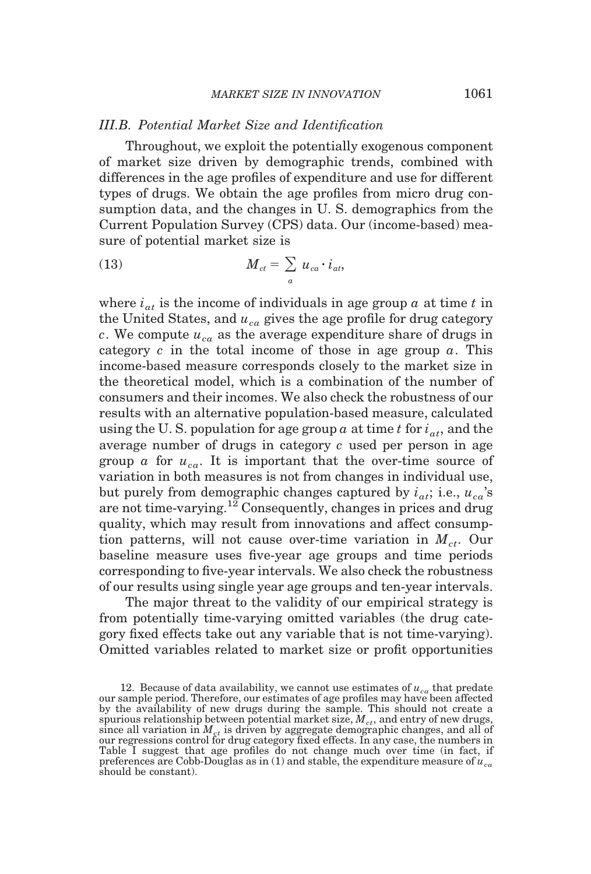### *III.B. Potential Market Size and Identification*

Throughout, we exploit the potentially exogenous component of market size driven by demographic trends, combined with differences in the age profiles of expenditure and use for different types of drugs. We obtain the age profiles from micro drug consumption data, and the changes in U. S. demographics from the Current Population Survey (CPS) data. Our (income-based) measure of potential market size is

$$
M_{ct} = \sum_{a} u_{ca} \cdot i_{at},
$$

where  $i_{at}$  is the income of individuals in age group  $a$  at time  $t$  in the United States, and  $u_{ca}$  gives the age profile for drug category *c*. We compute  $u_{ca}$  as the average expenditure share of drugs in category *c* in the total income of those in age group *a*. This income-based measure corresponds closely to the market size in the theoretical model, which is a combination of the number of consumers and their incomes. We also check the robustness of our results with an alternative population-based measure, calculated using the U.S. population for age group  $\alpha$  at time  $t$  for  $i_{\alpha t}$ , and the average number of drugs in category *c* used per person in age group *a* for  $u_{ca}$ . It is important that the over-time source of variation in both measures is not from changes in individual use, but purely from demographic changes captured by  $i_{at}$ ; i.e.,  $u_{ca}$ 's are not time-varying.<sup>12</sup> Consequently, changes in prices and drug quality, which may result from innovations and affect consumption patterns, will not cause over-time variation in  $M_{ct}$ . Our baseline measure uses five-year age groups and time periods corresponding to five-year intervals. We also check the robustness of our results using single year age groups and ten-year intervals.

The major threat to the validity of our empirical strategy is from potentially time-varying omitted variables (the drug category fixed effects take out any variable that is not time-varying). Omitted variables related to market size or profit opportunities

<sup>12.</sup> Because of data availability, we cannot use estimates of  $u_{ca}$  that predate our sample period. Therefore, our estimates of age profiles may have been affected by the availability of new drugs during the sample. This should not create a spurious relationship between potential market size,  $M_{ct}$ , and entry of new drugs, since all variation in  $M_{gt}$  is driven by aggregate demographic changes, and all of our regressions control for drug category fixed effects. In any case, the numbers in Table I suggest that age profiles do not change much over time (in fact, if preferences are Cobb-Douglas as in (1) and stable, the expenditure measure of  $u_{\rm\scriptscriptstyle ca}$ should be constant).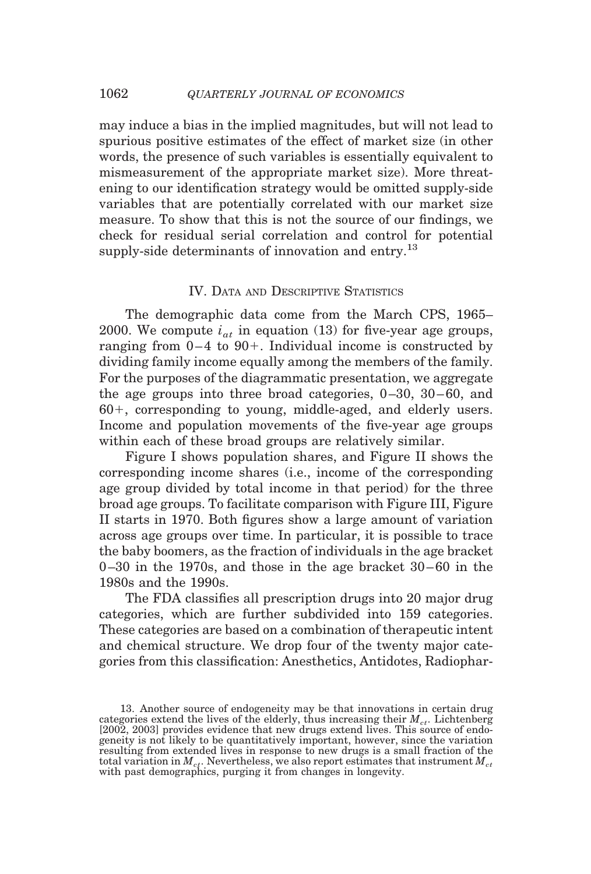may induce a bias in the implied magnitudes, but will not lead to spurious positive estimates of the effect of market size (in other words, the presence of such variables is essentially equivalent to mismeasurement of the appropriate market size). More threatening to our identification strategy would be omitted supply-side variables that are potentially correlated with our market size measure. To show that this is not the source of our findings, we check for residual serial correlation and control for potential supply-side determinants of innovation and entry.<sup>13</sup>

### IV. DATA AND DESCRIPTIVE STATISTICS

The demographic data come from the March CPS, 1965– 2000. We compute  $i_{at}$  in equation (13) for five-year age groups, ranging from  $0-4$  to  $90+$ . Individual income is constructed by dividing family income equally among the members of the family. For the purposes of the diagrammatic presentation, we aggregate the age groups into three broad categories, 0–30, 30–60, and  $60+$ , corresponding to young, middle-aged, and elderly users. Income and population movements of the five-year age groups within each of these broad groups are relatively similar.

Figure I shows population shares, and Figure II shows the corresponding income shares (i.e., income of the corresponding age group divided by total income in that period) for the three broad age groups. To facilitate comparison with Figure III, Figure II starts in 1970. Both figures show a large amount of variation across age groups over time. In particular, it is possible to trace the baby boomers, as the fraction of individuals in the age bracket 0–30 in the 1970s, and those in the age bracket 30–60 in the 1980s and the 1990s.

The FDA classifies all prescription drugs into 20 major drug categories, which are further subdivided into 159 categories. These categories are based on a combination of therapeutic intent and chemical structure. We drop four of the twenty major categories from this classification: Anesthetics, Antidotes, Radiophar-

<sup>13.</sup> Another source of endogeneity may be that innovations in certain drug categories extend the lives of the elderly, thus increasing their  $M_{ct}$ . Lichtenberg [2002, 2003] provides evidence that new drugs extend lives. This source of endogeneity is not likely to be quantitatively important, however, since the variation resulting from extended lives in response to new drugs is a small fraction of the total variation in  $M_{ct}$ . Nevertheless, we also report estimates that instrument  $M_{ct}$ with past demographics, purging it from changes in longevity.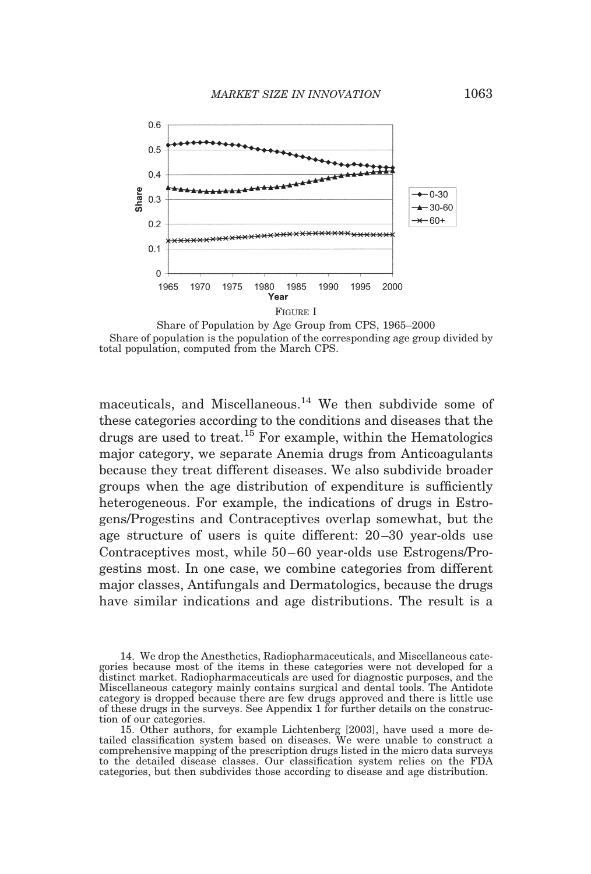

Share of Population by Age Group from CPS, 1965–2000 Share of population is the population of the corresponding age group divided by total population, computed from the March CPS.

maceuticals, and Miscellaneous.<sup>14</sup> We then subdivide some of these categories according to the conditions and diseases that the drugs are used to treat.<sup>15</sup> For example, within the Hematologics major category, we separate Anemia drugs from Anticoagulants because they treat different diseases. We also subdivide broader groups when the age distribution of expenditure is sufficiently heterogeneous. For example, the indications of drugs in Estrogens/Progestins and Contraceptives overlap somewhat, but the age structure of users is quite different: 20–30 year-olds use Contraceptives most, while 50–60 year-olds use Estrogens/Progestins most. In one case, we combine categories from different major classes, Antifungals and Dermatologics, because the drugs have similar indications and age distributions. The result is a

<sup>14.</sup> We drop the Anesthetics, Radiopharmaceuticals, and Miscellaneous categories because most of the items in these categories were not developed for a distinct market. Radiopharmaceuticals are used for diagnostic purposes, and the Miscellaneous category mainly contains surgical and dental tools. The Antidote category is dropped because there are few drugs approved and there is little use of these drugs in the surveys. See Appendix 1 for further details on the construction of our categories.

<sup>15.</sup> Other authors, for example Lichtenberg [2003], have used a more detailed classification system based on diseases. We were unable to construct a comprehensive mapping of the prescription drugs listed in the micro data surveys to the detailed disease classes. Our classification system relies on the FDA categories, but then subdivides those according to disease and age distribution.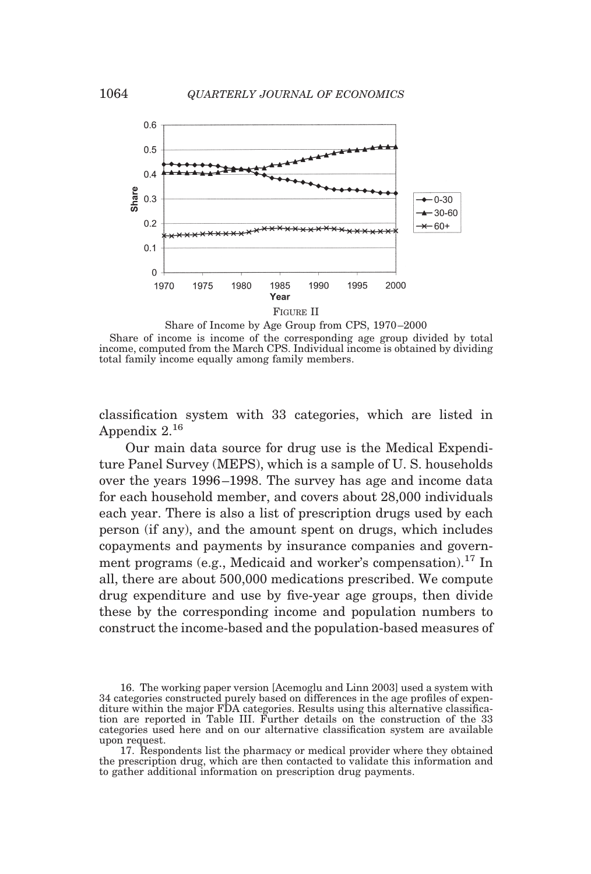

Share of Income by Age Group from CPS, 1970–2000

classification system with 33 categories, which are listed in Appendix  $2^{16}$ 

Our main data source for drug use is the Medical Expenditure Panel Survey (MEPS), which is a sample of U. S. households over the years 1996–1998. The survey has age and income data for each household member, and covers about 28,000 individuals each year. There is also a list of prescription drugs used by each person (if any), and the amount spent on drugs, which includes copayments and payments by insurance companies and government programs (e.g., Medicaid and worker's compensation).<sup>17</sup> In all, there are about 500,000 medications prescribed. We compute drug expenditure and use by five-year age groups, then divide these by the corresponding income and population numbers to construct the income-based and the population-based measures of

17. Respondents list the pharmacy or medical provider where they obtained the prescription drug, which are then contacted to validate this information and to gather additional information on prescription drug payments.

Share of income is income of the corresponding age group divided by total income, computed from the March CPS. Individual income is obtained by dividing total family income equally among family members.

<sup>16.</sup> The working paper version [Acemoglu and Linn 2003] used a system with 34 categories constructed purely based on differences in the age profiles of expenditure within the major FDA categories. Results using this alternative classification are reported in Table III. Further details on the construction of the 33 categories used here and on our alternative classification system are available upon request.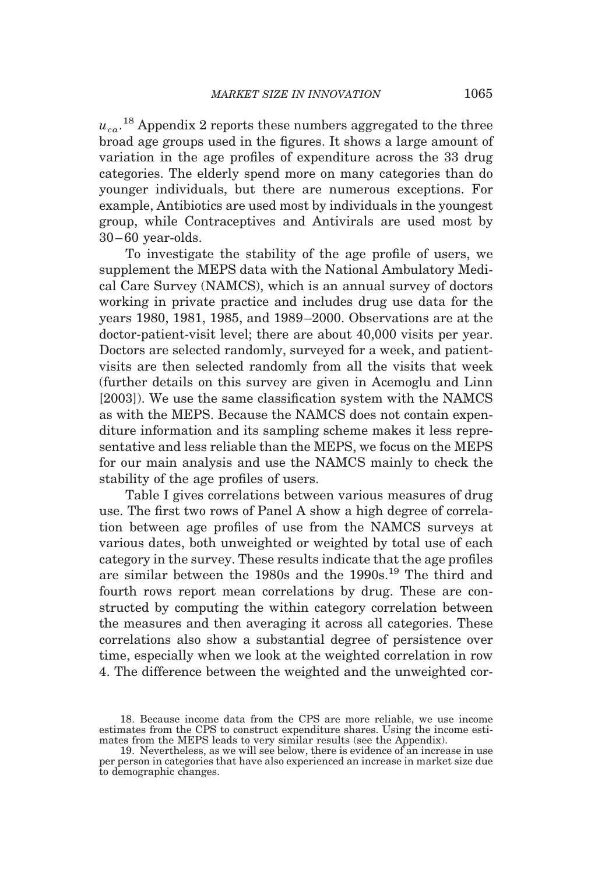$u_{ca}$ .<sup>18</sup> Appendix 2 reports these numbers aggregated to the three broad age groups used in the figures. It shows a large amount of variation in the age profiles of expenditure across the 33 drug categories. The elderly spend more on many categories than do younger individuals, but there are numerous exceptions. For example, Antibiotics are used most by individuals in the youngest group, while Contraceptives and Antivirals are used most by 30–60 year-olds.

To investigate the stability of the age profile of users, we supplement the MEPS data with the National Ambulatory Medical Care Survey (NAMCS), which is an annual survey of doctors working in private practice and includes drug use data for the years 1980, 1981, 1985, and 1989–2000. Observations are at the doctor-patient-visit level; there are about 40,000 visits per year. Doctors are selected randomly, surveyed for a week, and patientvisits are then selected randomly from all the visits that week (further details on this survey are given in Acemoglu and Linn [2003]). We use the same classification system with the NAMCS as with the MEPS. Because the NAMCS does not contain expenditure information and its sampling scheme makes it less representative and less reliable than the MEPS, we focus on the MEPS for our main analysis and use the NAMCS mainly to check the stability of the age profiles of users.

Table I gives correlations between various measures of drug use. The first two rows of Panel A show a high degree of correlation between age profiles of use from the NAMCS surveys at various dates, both unweighted or weighted by total use of each category in the survey. These results indicate that the age profiles are similar between the 1980s and the 1990s.19 The third and fourth rows report mean correlations by drug. These are constructed by computing the within category correlation between the measures and then averaging it across all categories. These correlations also show a substantial degree of persistence over time, especially when we look at the weighted correlation in row 4. The difference between the weighted and the unweighted cor-

<sup>18.</sup> Because income data from the CPS are more reliable, we use income estimates from the CPS to construct expenditure shares. Using the income estimates from the MEPS leads to very similar results (see the Appendix).

<sup>19.</sup> Nevertheless, as we will see below, there is evidence of an increase in use per person in categories that have also experienced an increase in market size due to demographic changes.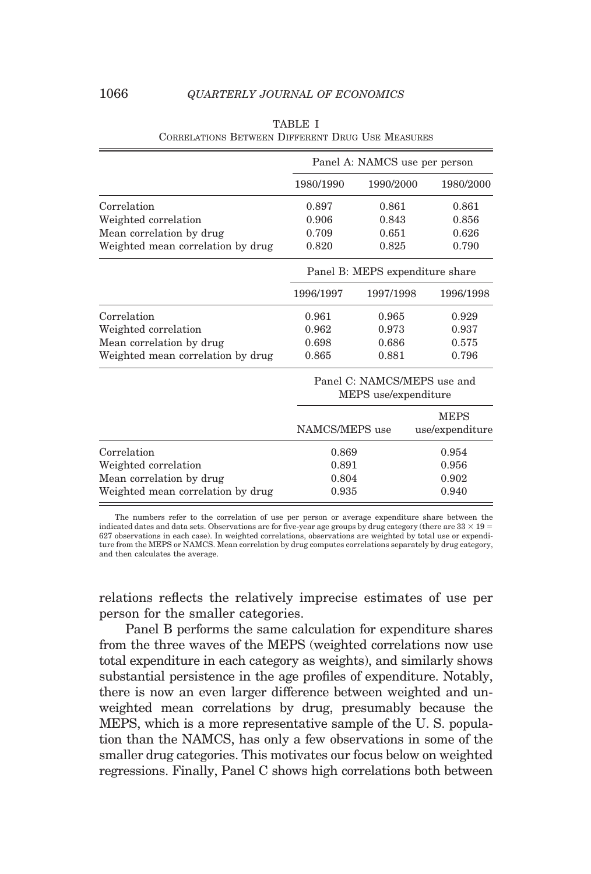|                                   |                | Panel A: NAMCS use per person |                                 |  |
|-----------------------------------|----------------|-------------------------------|---------------------------------|--|
|                                   | 1980/1990      | 1990/2000                     | 1980/2000                       |  |
| Correlation                       | 0.897          | 0.861                         | 0.861                           |  |
| Weighted correlation              | 0.906          | 0.843                         | 0.856                           |  |
| Mean correlation by drug          | 0.709          | 0.651                         | 0.626                           |  |
| Weighted mean correlation by drug | 0.820          | 0.825                         | 0.790                           |  |
|                                   |                |                               | Panel B: MEPS expenditure share |  |
|                                   | 1996/1997      | 1997/1998                     | 1996/1998                       |  |
| Correlation                       | 0.961          | 0.965                         | 0.929                           |  |
| Weighted correlation              | 0.962          | 0.973                         | 0.937                           |  |
| Mean correlation by drug          | 0.698          | 0.686                         | 0.575                           |  |
| Weighted mean correlation by drug | 0.865          | 0.881                         | 0.796                           |  |
|                                   |                | MEPS use/expenditure          | Panel C: NAMCS/MEPS use and     |  |
|                                   | NAMCS/MEPS use |                               | <b>MEPS</b><br>use/expenditure  |  |
| Correlation                       | 0.869          |                               | 0.954                           |  |
| Weighted correlation              | 0.891          |                               | 0.956                           |  |
| Mean correlation by drug          | 0.804          |                               | 0.902                           |  |
| Weighted mean correlation by drug | 0.935          |                               | 0.940                           |  |

TABLE I CORRELATIONS BETWEEN DIFFERENT DRUG USE MEASURES

The numbers refer to the correlation of use per person or average expenditure share between the indicated dates and data sets. Observations are for five-year age groups by drug category (there are 33  $\times$  19 = 627 observations in each case). In weighted correlations, observations are weighted by total use or expenditure from the MEPS or NAMCS. Mean correlation by drug computes correlations separately by drug category, and then calculates the average.

relations reflects the relatively imprecise estimates of use per person for the smaller categories.

Panel B performs the same calculation for expenditure shares from the three waves of the MEPS (weighted correlations now use total expenditure in each category as weights), and similarly shows substantial persistence in the age profiles of expenditure. Notably, there is now an even larger difference between weighted and unweighted mean correlations by drug, presumably because the MEPS, which is a more representative sample of the U. S. population than the NAMCS, has only a few observations in some of the smaller drug categories. This motivates our focus below on weighted regressions. Finally, Panel C shows high correlations both between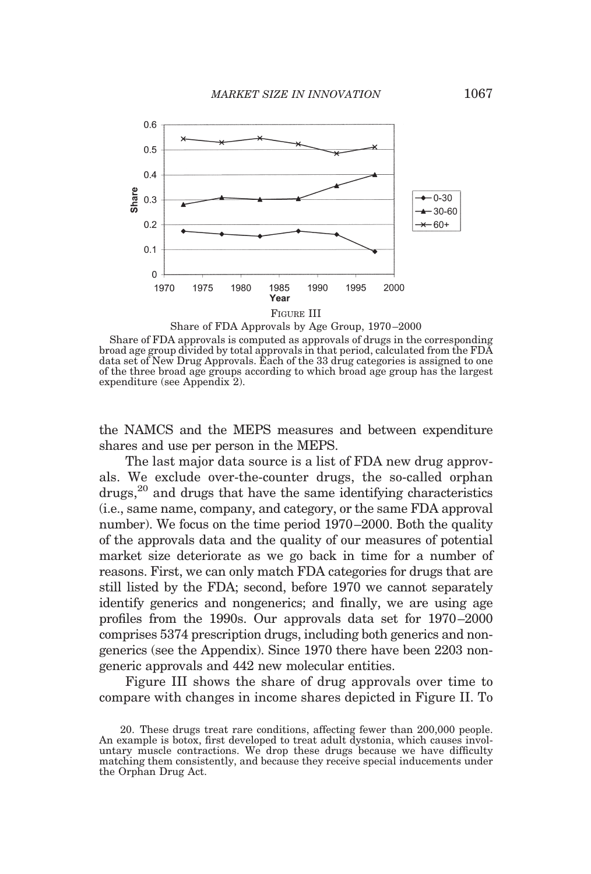

#### FIGURE III

Share of FDA Approvals by Age Group, 1970–2000

the NAMCS and the MEPS measures and between expenditure shares and use per person in the MEPS.

The last major data source is a list of FDA new drug approvals. We exclude over-the-counter drugs, the so-called orphan  $drugs<sub>1</sub><sup>20</sup>$  and drugs that have the same identifying characteristics (i.e., same name, company, and category, or the same FDA approval number). We focus on the time period 1970–2000. Both the quality of the approvals data and the quality of our measures of potential market size deteriorate as we go back in time for a number of reasons. First, we can only match FDA categories for drugs that are still listed by the FDA; second, before 1970 we cannot separately identify generics and nongenerics; and finally, we are using age profiles from the 1990s. Our approvals data set for 1970–2000 comprises 5374 prescription drugs, including both generics and nongenerics (see the Appendix). Since 1970 there have been 2203 nongeneric approvals and 442 new molecular entities.

Figure III shows the share of drug approvals over time to compare with changes in income shares depicted in Figure II. To

Share of FDA approvals is computed as approvals of drugs in the corresponding broad age group divided by total approvals in that period, calculated from the FDA data set of New Drug Approvals. Each of the 33 drug categories is assigned to one of the three broad age groups according to which broad age group has the largest expenditure (see Appendix 2).

<sup>20.</sup> These drugs treat rare conditions, affecting fewer than 200,000 people. An example is botox, first developed to treat adult dystonia, which causes involuntary muscle contractions. We drop these drugs because we have difficulty matching them consistently, and because they receive special inducements under the Orphan Drug Act.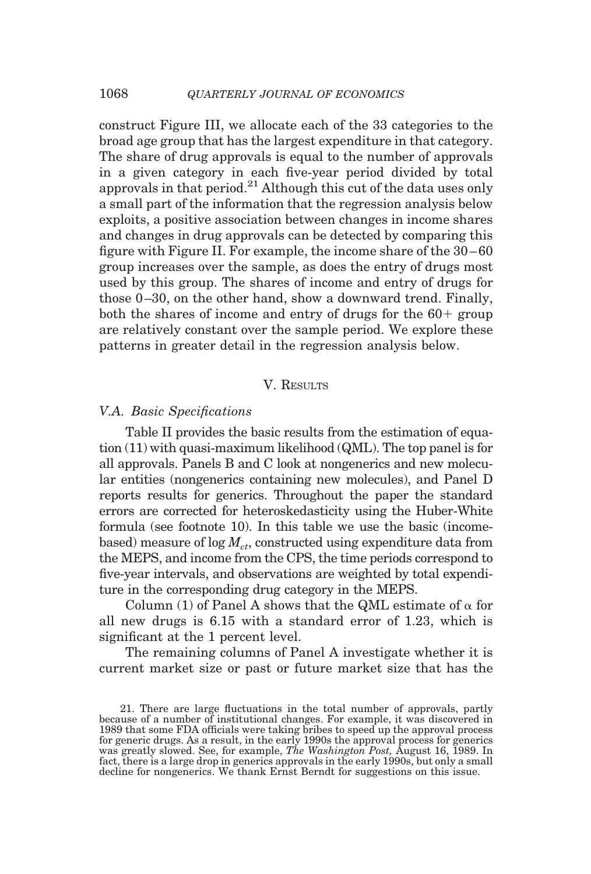construct Figure III, we allocate each of the 33 categories to the broad age group that has the largest expenditure in that category. The share of drug approvals is equal to the number of approvals in a given category in each five-year period divided by total approvals in that period.<sup>21</sup> Although this cut of the data uses only a small part of the information that the regression analysis below exploits, a positive association between changes in income shares and changes in drug approvals can be detected by comparing this figure with Figure II. For example, the income share of the 30–60 group increases over the sample, as does the entry of drugs most used by this group. The shares of income and entry of drugs for those 0–30, on the other hand, show a downward trend. Finally, both the shares of income and entry of drugs for the  $60<sup>+</sup>$  group are relatively constant over the sample period. We explore these patterns in greater detail in the regression analysis below.

# V. RESULTS

### *V.A. Basic Specifications*

Table II provides the basic results from the estimation of equation (11) with quasi-maximum likelihood (QML). The top panel is for all approvals. Panels B and C look at nongenerics and new molecular entities (nongenerics containing new molecules), and Panel D reports results for generics. Throughout the paper the standard errors are corrected for heteroskedasticity using the Huber-White formula (see footnote 10). In this table we use the basic (incomebased) measure of  $\log M_{ct}$ , constructed using expenditure data from the MEPS, and income from the CPS, the time periods correspond to five-year intervals, and observations are weighted by total expenditure in the corresponding drug category in the MEPS.

Column (1) of Panel A shows that the QML estimate of  $\alpha$  for all new drugs is 6.15 with a standard error of 1.23, which is significant at the 1 percent level.

The remaining columns of Panel A investigate whether it is current market size or past or future market size that has the

<sup>21.</sup> There are large fluctuations in the total number of approvals, partly because of a number of institutional changes. For example, it was discovered in 1989 that some FDA officials were taking bribes to speed up the approval process for generic drugs. As a result, in the early 1990s the approval process for generics was greatly slowed. See, for example, *The Washington Post,* August 16, 1989. In fact, there is a large drop in generics approvals in the early 1990s, but only a small decline for nongenerics. We thank Ernst Berndt for suggestions on this issue.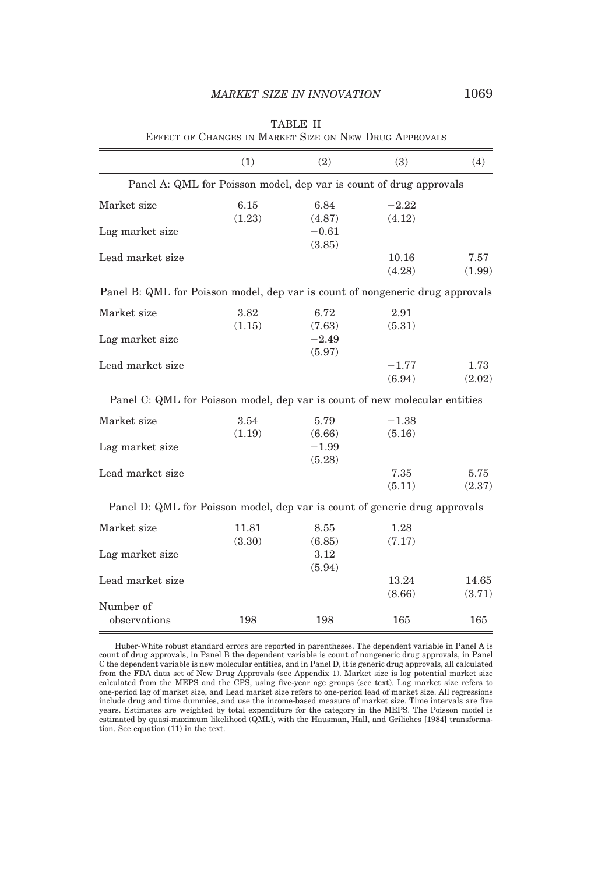|                                                                               | (1)    | (2)     | (3)     | (4)    |
|-------------------------------------------------------------------------------|--------|---------|---------|--------|
|                                                                               |        |         |         |        |
| Panel A: QML for Poisson model, dep var is count of drug approvals            |        |         |         |        |
| Market size                                                                   | 6.15   | 6.84    | $-2.22$ |        |
|                                                                               | (1.23) | (4.87)  | (4.12)  |        |
| Lag market size                                                               |        | $-0.61$ |         |        |
|                                                                               |        | (3.85)  |         |        |
| Lead market size                                                              |        |         | 10.16   | 7.57   |
|                                                                               |        |         | (4.28)  | (1.99) |
| Panel B: QML for Poisson model, dep var is count of nongeneric drug approvals |        |         |         |        |
| Market size                                                                   | 3.82   | 6.72    | 2.91    |        |
|                                                                               | (1.15) | (7.63)  | (5.31)  |        |
| Lag market size                                                               |        | $-2.49$ |         |        |
|                                                                               |        | (5.97)  |         |        |
| Lead market size                                                              |        |         | $-1.77$ | 1.73   |
|                                                                               |        |         | (6.94)  | (2.02) |
| Panel C: QML for Poisson model, dep var is count of new molecular entities    |        |         |         |        |
| Market size                                                                   | 3.54   | 5.79    | $-1.38$ |        |
|                                                                               | (1.19) | (6.66)  | (5.16)  |        |
| Lag market size                                                               |        | $-1.99$ |         |        |
|                                                                               |        | (5.28)  |         |        |
| Lead market size                                                              |        |         | 7.35    | 5.75   |
|                                                                               |        |         | (5.11)  | (2.37) |
| Panel D: QML for Poisson model, dep var is count of generic drug approvals    |        |         |         |        |
| Market size                                                                   | 11.81  | 8.55    | 1.28    |        |
|                                                                               | (3.30) | (6.85)  | (7.17)  |        |
| Lag market size                                                               |        | 3.12    |         |        |
|                                                                               |        | (5.94)  |         |        |
| Lead market size                                                              |        |         | 13.24   | 14.65  |
|                                                                               |        |         | (8.66)  | (3.71) |
| Number of                                                                     |        |         |         |        |
| observations                                                                  | 198    | 198     | 165     | 165    |

TABLE II EFFECT OF CHANGES IN MARKET SIZE ON NEW DRUG APPROVALS

Huber-White robust standard errors are reported in parentheses. The dependent variable in Panel A is count of drug approvals, in Panel B the dependent variable is count of nongeneric drug approvals, in Panel C the dependent variable is new molecular entities, and in Panel D, it is generic drug approvals, all calculated from the FDA data set of New Drug Approvals (see Appendix 1). Market size is log potential market size calculated from the MEPS and the CPS, using five-year age groups (see text). Lag market size refers to one-period lag of market size, and Lead market size refers to one-period lead of market size. All regressions include drug and time dummies, and use the income-based measure of market size. Time intervals are five years. Estimates are weighted by total expenditure for the category in the MEPS. The Poisson model is estimated by quasi-maximum likelihood (QML), with the Hausman, Hall, and Griliches [1984] transformation. See equation (11) in the text.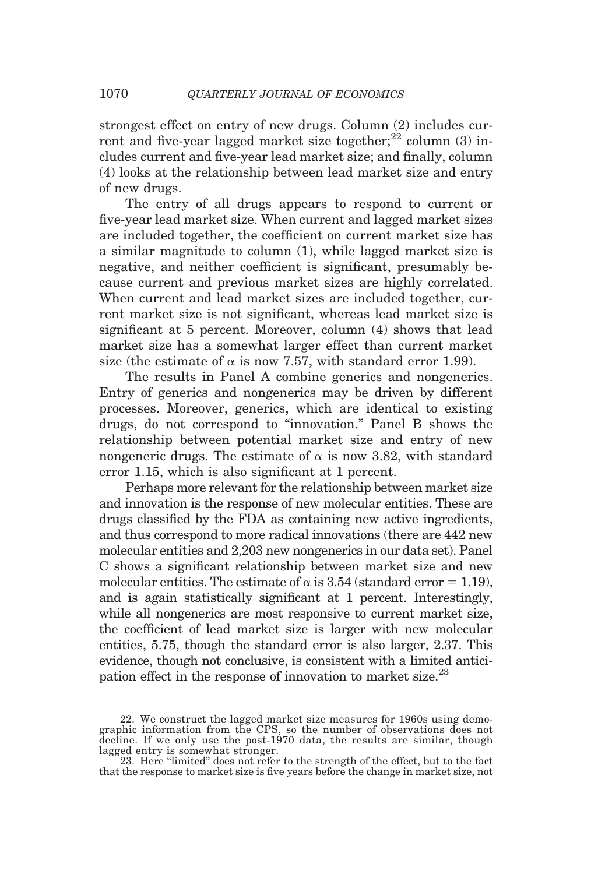strongest effect on entry of new drugs. Column (2) includes current and five-year lagged market size together; $^{22}$  column (3) includes current and five-year lead market size; and finally, column (4) looks at the relationship between lead market size and entry of new drugs.

The entry of all drugs appears to respond to current or five-year lead market size. When current and lagged market sizes are included together, the coefficient on current market size has a similar magnitude to column (1), while lagged market size is negative, and neither coefficient is significant, presumably because current and previous market sizes are highly correlated. When current and lead market sizes are included together, current market size is not significant, whereas lead market size is significant at 5 percent. Moreover, column (4) shows that lead market size has a somewhat larger effect than current market size (the estimate of  $\alpha$  is now 7.57, with standard error 1.99).

The results in Panel A combine generics and nongenerics. Entry of generics and nongenerics may be driven by different processes. Moreover, generics, which are identical to existing drugs, do not correspond to "innovation." Panel B shows the relationship between potential market size and entry of new nongeneric drugs. The estimate of  $\alpha$  is now 3.82, with standard error 1.15, which is also significant at 1 percent.

Perhaps more relevant for the relationship between market size and innovation is the response of new molecular entities. These are drugs classified by the FDA as containing new active ingredients, and thus correspond to more radical innovations (there are 442 new molecular entities and 2,203 new nongenerics in our data set). Panel C shows a significant relationship between market size and new molecular entities. The estimate of  $\alpha$  is 3.54 (standard error = 1.19), and is again statistically significant at 1 percent. Interestingly, while all nongenerics are most responsive to current market size, the coefficient of lead market size is larger with new molecular entities, 5.75, though the standard error is also larger, 2.37. This evidence, though not conclusive, is consistent with a limited anticipation effect in the response of innovation to market size.<sup>23</sup>

<sup>22.</sup> We construct the lagged market size measures for 1960s using demographic information from the CPS, so the number of observations does not decline. If we only use the post-1970 data, the results are similar, though lagged entry is somewhat stronger.

<sup>23.</sup> Here "limited" does not refer to the strength of the effect, but to the fact that the response to market size is five years before the change in market size, not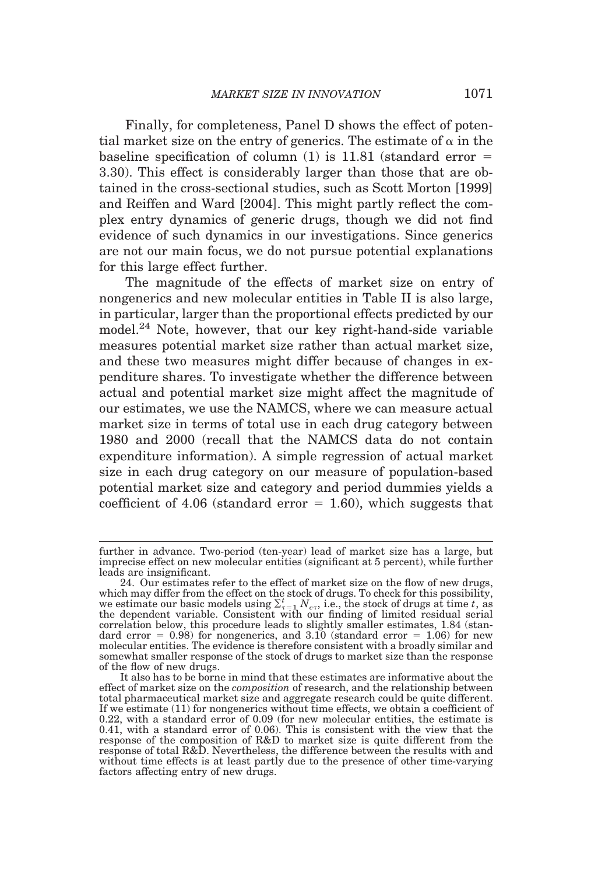Finally, for completeness, Panel D shows the effect of potential market size on the entry of generics. The estimate of  $\alpha$  in the baseline specification of column  $(1)$  is 11.81 (standard error = 3.30). This effect is considerably larger than those that are obtained in the cross-sectional studies, such as Scott Morton [1999] and Reiffen and Ward [2004]. This might partly reflect the complex entry dynamics of generic drugs, though we did not find evidence of such dynamics in our investigations. Since generics are not our main focus, we do not pursue potential explanations for this large effect further.

The magnitude of the effects of market size on entry of nongenerics and new molecular entities in Table II is also large, in particular, larger than the proportional effects predicted by our model.<sup>24</sup> Note, however, that our key right-hand-side variable measures potential market size rather than actual market size, and these two measures might differ because of changes in expenditure shares. To investigate whether the difference between actual and potential market size might affect the magnitude of our estimates, we use the NAMCS, where we can measure actual market size in terms of total use in each drug category between 1980 and 2000 (recall that the NAMCS data do not contain expenditure information). A simple regression of actual market size in each drug category on our measure of population-based potential market size and category and period dummies yields a coefficient of  $4.06$  (standard error  $= 1.60$ ), which suggests that

further in advance. Two-period (ten-year) lead of market size has a large, but imprecise effect on new molecular entities (significant at 5 percent), while further leads are insignificant.

<sup>24.</sup> Our estimates refer to the effect of market size on the flow of new drugs, which may differ from the effect on the stock of drugs. To check for this possibility, we estimate our basic models using  $\Sigma_{t=1}^t N_{cr}$ , i.e., the stock of drugs at time *t*, as the dependent variable. Consistent with our finding of limited residual serial correlation below, this procedure leads to slightly smaller estimates, 1.84 (standard error  $= 0.98$ ) for nongenerics, and 3.10 (standard error  $= 1.06$ ) for new molecular entities. The evidence is therefore consistent with a broadly similar and somewhat smaller response of the stock of drugs to market size than the response of the flow of new drugs.

It also has to be borne in mind that these estimates are informative about the effect of market size on the *composition* of research, and the relationship between total pharmaceutical market size and aggregate research could be quite different. If we estimate (11) for nongenerics without time effects, we obtain a coefficient of 0.22, with a standard error of 0.09 (for new molecular entities, the estimate is 0.41, with a standard error of 0.06). This is consistent with the view that the response of the composition of R&D to market size is quite different from the response of total R&D. Nevertheless, the difference between the results with and without time effects is at least partly due to the presence of other time-varying factors affecting entry of new drugs.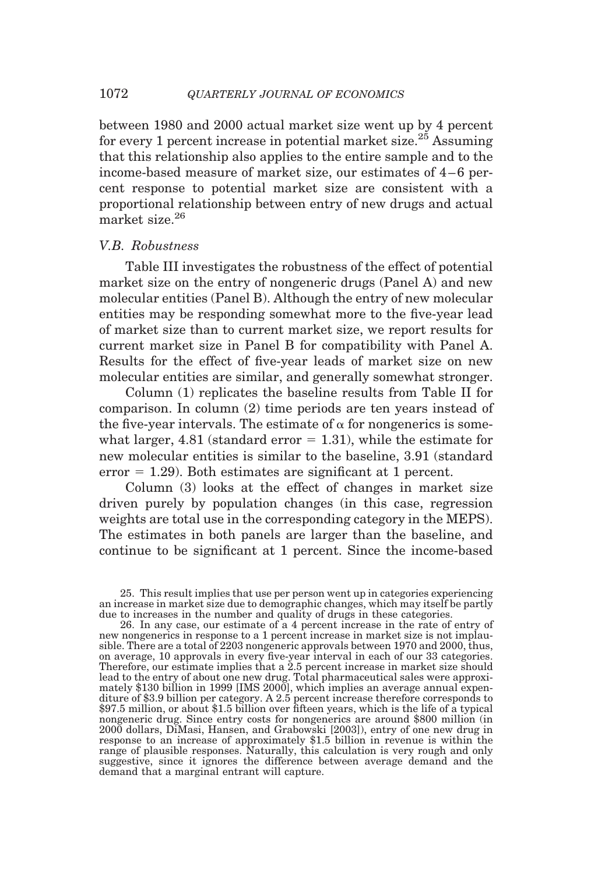between 1980 and 2000 actual market size went up by 4 percent for every 1 percent increase in potential market size.25 Assuming that this relationship also applies to the entire sample and to the income-based measure of market size, our estimates of 4–6 percent response to potential market size are consistent with a proportional relationship between entry of new drugs and actual market size.26

# *V.B. Robustness*

Table III investigates the robustness of the effect of potential market size on the entry of nongeneric drugs (Panel A) and new molecular entities (Panel B). Although the entry of new molecular entities may be responding somewhat more to the five-year lead of market size than to current market size, we report results for current market size in Panel B for compatibility with Panel A. Results for the effect of five-year leads of market size on new molecular entities are similar, and generally somewhat stronger.

Column (1) replicates the baseline results from Table II for comparison. In column (2) time periods are ten years instead of the five-year intervals. The estimate of  $\alpha$  for nongenerics is somewhat larger,  $4.81$  (standard error = 1.31), while the estimate for new molecular entities is similar to the baseline, 3.91 (standard  $error = 1.29$ . Both estimates are significant at 1 percent.

Column (3) looks at the effect of changes in market size driven purely by population changes (in this case, regression weights are total use in the corresponding category in the MEPS). The estimates in both panels are larger than the baseline, and continue to be significant at 1 percent. Since the income-based

<sup>25.</sup> This result implies that use per person went up in categories experiencing an increase in market size due to demographic changes, which may itself be partly due to increases in the number and quality of drugs in these categories.

<sup>26.</sup> In any case, our estimate of a 4 percent increase in the rate of entry of new nongenerics in response to a 1 percent increase in market size is not implausible. There are a total of 2203 nongeneric approvals between 1970 and 2000, thus, on average, 10 approvals in every five-year interval in each of our 33 categories. Therefore, our estimate implies that a 2.5 percent increase in market size should lead to the entry of about one new drug. Total pharmaceutical sales were approximately \$130 billion in 1999 [IMS 2000], which implies an average annual expenditure of \$3.9 billion per category. A 2.5 percent increase therefore corresponds to<br>\$97.5 million, or about \$1.5 billion over fifteen years, which is the life of a typical<br>nongeneric drug. Since entry costs for nongeneric 2000 dollars, DiMasi, Hansen, and Grabowski [2003]), entry of one new drug in response to an increase of approximately \$1.5 billion in revenue is within the range of plausible responses. Naturally, this calculation is very rough and only suggestive, since it ignores the difference between average demand and the demand that a marginal entrant will capture.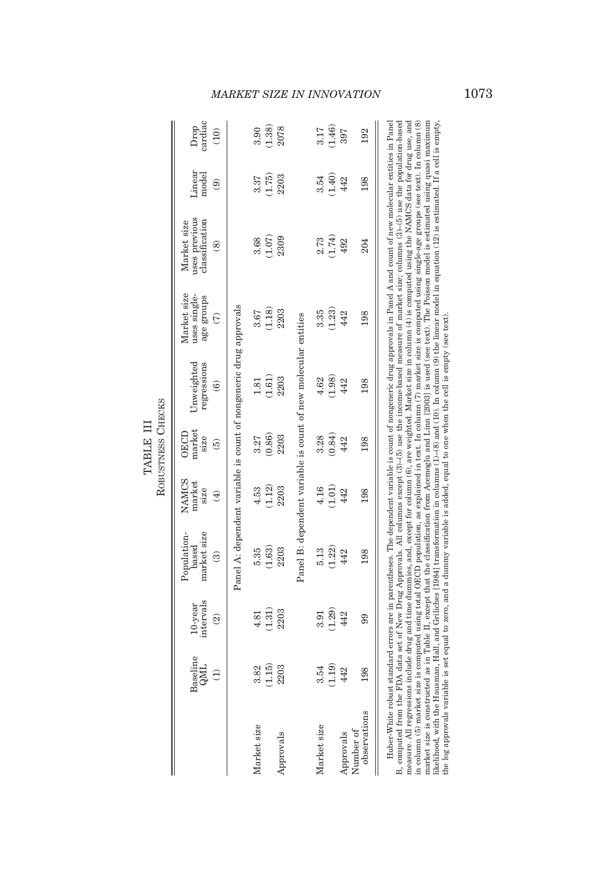|                           |                                    |                                                            |                                                                   |                                          | ROBUSTNESS CHECKS<br>TH FILLOW          |                                                                |                                                                |                                                                                                                                                                                                                                                                                                                                                                                                                                                                                                                                                                                                                                                                                                                                                                                                                                                                                             |                                   |                         |
|---------------------------|------------------------------------|------------------------------------------------------------|-------------------------------------------------------------------|------------------------------------------|-----------------------------------------|----------------------------------------------------------------|----------------------------------------------------------------|---------------------------------------------------------------------------------------------------------------------------------------------------------------------------------------------------------------------------------------------------------------------------------------------------------------------------------------------------------------------------------------------------------------------------------------------------------------------------------------------------------------------------------------------------------------------------------------------------------------------------------------------------------------------------------------------------------------------------------------------------------------------------------------------------------------------------------------------------------------------------------------------|-----------------------------------|-------------------------|
|                           | Baseline<br>QML<br>$\widehat{\Xi}$ | $\frac{10\text{-year}}{\text{intervals}}$<br>$\widehat{2}$ | market size<br>Population-<br>based<br>$\widehat{\mathcal{C}}$    | NAMCS<br>market<br>size<br>$\widehat{f}$ | market<br>OECD<br>size<br>$\widehat{5}$ | Unweighted<br>regressions<br>$\widehat{\mathbf{e}}$            | Market size<br>uses single-<br>groups<br>$\widehat{C}$<br>age: | uses previous<br>classification<br>Market size<br>$\circledS$                                                                                                                                                                                                                                                                                                                                                                                                                                                                                                                                                                                                                                                                                                                                                                                                                               | Linear<br>model<br>$\circledcirc$ | Drop<br>cardiac<br>(10) |
|                           |                                    |                                                            | Panel A: dependent variable is count of nongeneric drug approvals |                                          |                                         |                                                                |                                                                |                                                                                                                                                                                                                                                                                                                                                                                                                                                                                                                                                                                                                                                                                                                                                                                                                                                                                             |                                   |                         |
| Market size               | 3.82                               | 4.81                                                       | 5.35                                                              | 4.53                                     | 3.27                                    | 1.81                                                           | 3.67                                                           | 3.68                                                                                                                                                                                                                                                                                                                                                                                                                                                                                                                                                                                                                                                                                                                                                                                                                                                                                        | 3.37                              | 3.90                    |
|                           | (1.15)                             | (1.31)                                                     | (1.63)                                                            | (1.12)                                   | (0.86)                                  | (1.61)                                                         | (1.18)                                                         | (1.07)                                                                                                                                                                                                                                                                                                                                                                                                                                                                                                                                                                                                                                                                                                                                                                                                                                                                                      | (1.75)                            | (1.38)                  |
| Approvals                 | 2203                               | 2203                                                       | 2203                                                              | 2203                                     | 2203                                    | 2203                                                           | 2203                                                           | 2309                                                                                                                                                                                                                                                                                                                                                                                                                                                                                                                                                                                                                                                                                                                                                                                                                                                                                        | 2203                              | 2078                    |
|                           |                                    |                                                            |                                                                   |                                          |                                         | Panel B: dependent variable is count of new molecular entities |                                                                |                                                                                                                                                                                                                                                                                                                                                                                                                                                                                                                                                                                                                                                                                                                                                                                                                                                                                             |                                   |                         |
| Market size               | 3.54                               | 3.91                                                       | 5.13                                                              | 4.16                                     | 3.28                                    | 4.62                                                           | 3.35                                                           | 2.73                                                                                                                                                                                                                                                                                                                                                                                                                                                                                                                                                                                                                                                                                                                                                                                                                                                                                        | 3.54                              | 3.17                    |
|                           | (1.19)                             | (1.29)                                                     | (1.22)                                                            | (1.01)                                   | (0.84)                                  | (1.98)                                                         | (1.23)                                                         | (1.74)                                                                                                                                                                                                                                                                                                                                                                                                                                                                                                                                                                                                                                                                                                                                                                                                                                                                                      | (1.40)                            | (1.46)                  |
| Approvals                 | 442                                | 442                                                        | 442                                                               | 442                                      | 442                                     | 442                                                            | 442                                                            | 492                                                                                                                                                                                                                                                                                                                                                                                                                                                                                                                                                                                                                                                                                                                                                                                                                                                                                         | 442                               | 397                     |
| observations<br>Number of | 198                                | 99                                                         | 198                                                               | 198                                      | 198                                     | 198                                                            | 198                                                            | 204                                                                                                                                                                                                                                                                                                                                                                                                                                                                                                                                                                                                                                                                                                                                                                                                                                                                                         | 198                               | 192                     |
|                           |                                    |                                                            |                                                                   |                                          |                                         |                                                                |                                                                | B, computed from the FDA data set of New Drug Approvals. All columns except (3)–(5) use the income-based measure of market size; columns (3)–(5) use the population-based<br>measure. All regressions include drug and time dummies, and, except for column (6), are weighted. Market size in column (4) is computed using the NAMCS data for drug use, and<br>Huber-White robust standard errors are in parentheses. The dependent variable is count of nongeneric drug approvals in Panel A and count of new molecular entities in Panel<br>in column (5) market size is computed using total OECD population, as explained in text. In column (7) market size is computed using single-age groups (see text). In column (8)<br>monication anothing as in Table II avenue that the closefient from from and I inn IOOO2 is used (see that The Deseau model is actimated using our movimum |                                   |                         |

TABLE III TABLE III

market size is constructed as in Table 11, except that the classification from Acemoglu and Linn 12003) is used (see text). The Poisson model is estimated using quasi maximum the log approvils variable is set equal to zer market size is constructed as in Table II, except that the classification from Acemoglu and Linn [2003] is used (see text). The Poisson model is estimated using quasi maximum likelihood, with the Hausman, Hall, and Griliches [1984] transformation in columns (1)–(8) and (10). In column (9) the linear model in equation (12) is estimated. If a cell is empty, the log approvals variable is set equal to zero, and a dummy variable is added, equal to one when the cell is empty (see text).

# *MARKET SIZE IN INNOVATION* 1073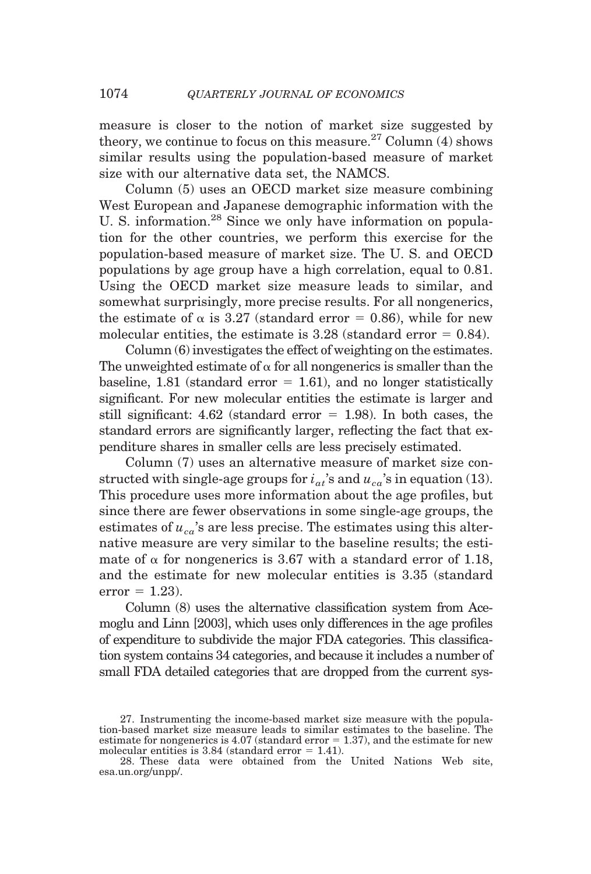measure is closer to the notion of market size suggested by theory, we continue to focus on this measure.<sup>27</sup> Column (4) shows similar results using the population-based measure of market size with our alternative data set, the NAMCS.

Column (5) uses an OECD market size measure combining West European and Japanese demographic information with the U. S. information.<sup>28</sup> Since we only have information on population for the other countries, we perform this exercise for the population-based measure of market size. The U. S. and OECD populations by age group have a high correlation, equal to 0.81. Using the OECD market size measure leads to similar, and somewhat surprisingly, more precise results. For all nongenerics, the estimate of  $\alpha$  is 3.27 (standard error = 0.86), while for new molecular entities, the estimate is  $3.28$  (standard error  $= 0.84$ ).

Column (6) investigates the effect of weighting on the estimates. The unweighted estimate of  $\alpha$  for all nongenerics is smaller than the baseline,  $1.81$  (standard error  $= 1.61$ ), and no longer statistically significant. For new molecular entities the estimate is larger and still significant:  $4.62$  (standard error  $= 1.98$ ). In both cases, the standard errors are significantly larger, reflecting the fact that expenditure shares in smaller cells are less precisely estimated.

Column (7) uses an alternative measure of market size constructed with single-age groups for  $i_{at}$ 's and  $u_{ca}$ 's in equation (13). This procedure uses more information about the age profiles, but since there are fewer observations in some single-age groups, the estimates of  $u_{ca}$ 's are less precise. The estimates using this alternative measure are very similar to the baseline results; the estimate of  $\alpha$  for nongenerics is 3.67 with a standard error of 1.18, and the estimate for new molecular entities is 3.35 (standard  $error = 1.23$ ).

Column (8) uses the alternative classification system from Acemoglu and Linn [2003], which uses only differences in the age profiles of expenditure to subdivide the major FDA categories. This classification system contains 34 categories, and because it includes a number of small FDA detailed categories that are dropped from the current sys-

<sup>27.</sup> Instrumenting the income-based market size measure with the population-based market size measure leads to similar estimates to the baseline. The estimate for nongenerics is  $4.07$  (standard error  $= 1.37$ ), and the estimate for new molecular entities is  $3.84$  (standard error  $= 1.41$ ).

<sup>28.</sup> These data were obtained from the United Nations Web site, esa.un.org/unpp/.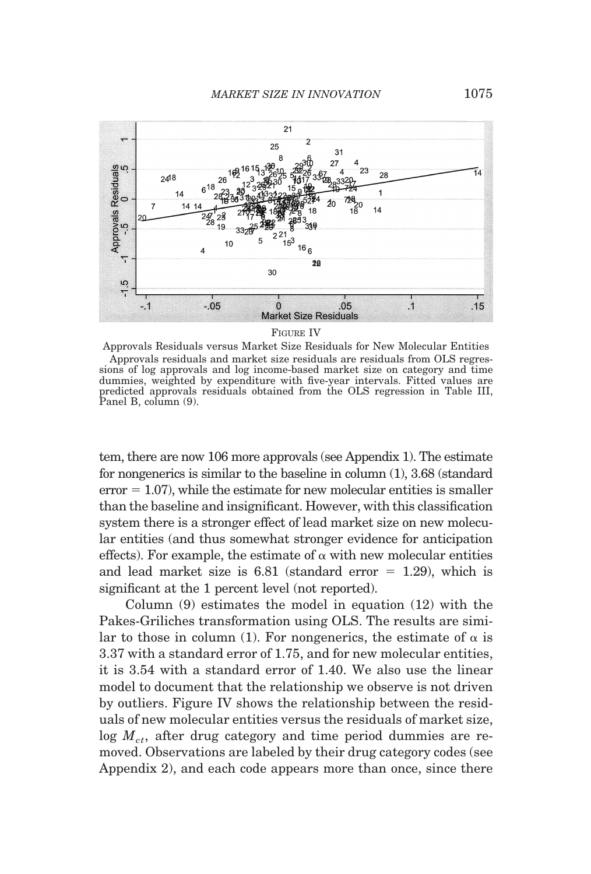

#### FIGURE IV

Approvals Residuals versus Market Size Residuals for New Molecular Entities

Approvals residuals and market size residuals are residuals from OLS regressions of log approvals and log income-based market size on category and time dummies, weighted by expenditure with five-year intervals. Fitted values are predicted approvals residuals obtained from the OLS regression in Table III, Panel B, column (9).

tem, there are now 106 more approvals (see Appendix 1). The estimate for nongenerics is similar to the baseline in column (1), 3.68 (standard  $error = 1.07$ , while the estimate for new molecular entities is smaller than the baseline and insignificant. However, with this classification system there is a stronger effect of lead market size on new molecular entities (and thus somewhat stronger evidence for anticipation effects). For example, the estimate of  $\alpha$  with new molecular entities and lead market size is  $6.81$  (standard error  $= 1.29$ ), which is significant at the 1 percent level (not reported).

Column (9) estimates the model in equation (12) with the Pakes-Griliches transformation using OLS. The results are similar to those in column (1). For nongenerics, the estimate of  $\alpha$  is 3.37 with a standard error of 1.75, and for new molecular entities, it is 3.54 with a standard error of 1.40. We also use the linear model to document that the relationship we observe is not driven by outliers. Figure IV shows the relationship between the residuals of new molecular entities versus the residuals of market size,  $\log M_{ct}$ , after drug category and time period dummies are removed. Observations are labeled by their drug category codes (see Appendix 2), and each code appears more than once, since there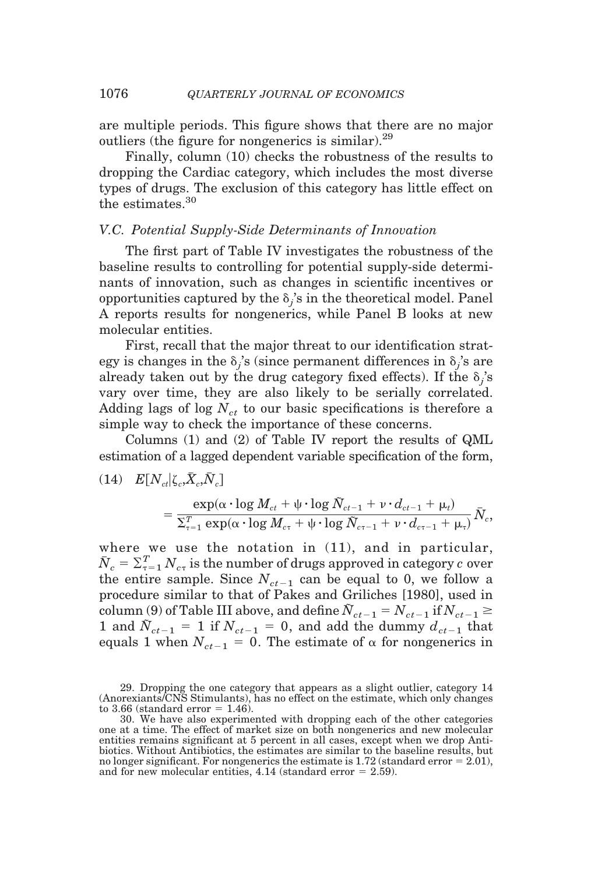are multiple periods. This figure shows that there are no major outliers (the figure for nongenerics is similar).29

Finally, column (10) checks the robustness of the results to dropping the Cardiac category, which includes the most diverse types of drugs. The exclusion of this category has little effect on the estimates.30

# *V.C. Potential Supply-Side Determinants of Innovation*

The first part of Table IV investigates the robustness of the baseline results to controlling for potential supply-side determinants of innovation, such as changes in scientific incentives or opportunities captured by the  $\delta_i$ 's in the theoretical model. Panel A reports results for nongenerics, while Panel B looks at new molecular entities.

First, recall that the major threat to our identification strategy is changes in the  $\delta_i$ 's (since permanent differences in  $\delta_i$ 's are already taken out by the drug category fixed effects). If the  $\delta_i$ 's vary over time, they are also likely to be serially correlated. Adding lags of log  $N_{ct}$  to our basic specifications is therefore a simple way to check the importance of these concerns.

Columns (1) and (2) of Table IV report the results of QML estimation of a lagged dependent variable specification of the form,

$$
(14)\quad E[N_{ct}|\zeta_c,\!\bar{X}_c,\!\bar{N}_c]
$$

$$
= \frac{\exp(\alpha \cdot \log M_{ct} + \psi \cdot \log \tilde{N}_{ct-1} + \nu \cdot d_{ct-1} + \mu_t)}{\Sigma_{\tau=1}^T \exp(\alpha \cdot \log M_{c\tau} + \psi \cdot \log \tilde{N}_{c\tau-1} + \nu \cdot d_{c\tau-1} + \mu_{\tau})} \bar{N}_c,
$$

where we use the notation in (11), and in particular,  $\bar{N}_{c} = \sum_{\tau=1}^{T} N_{c\tau}$  is the number of drugs approved in category  $c$  over the entire sample. Since  $N_{ct-1}$  can be equal to 0, we follow a procedure similar to that of Pakes and Griliches [1980], used in column (9) of Table III above, and define  $\tilde{N}_{ct-1} = N_{ct-1}$  if  $N_{ct-1} \ge$ 1 and  $\tilde{N}_{ct-1} = 1$  if  $N_{ct-1} = 0$ , and add the dummy  $d_{ct-1}$  that equals 1 when  $N_{ct-1} = 0$ . The estimate of  $\alpha$  for nongenerics in

<sup>29.</sup> Dropping the one category that appears as a slight outlier, category 14 (Anorexiants/CNS Stimulants), has no effect on the estimate, which only changes to 3.66 (standard error  $= 1.46$ ).

<sup>30.</sup> We have also experimented with dropping each of the other categories one at a time. The effect of market size on both nongenerics and new molecular entities remains significant at 5 percent in all cases, except when we drop Antibiotics. Without Antibiotics, the estimates are similar to the baseline results, but no longer significant. For nongenerics the estimate is  $1.72$  (standard error  $= 2.01$ ), and for new molecular entities,  $4.14$  (standard error = 2.59).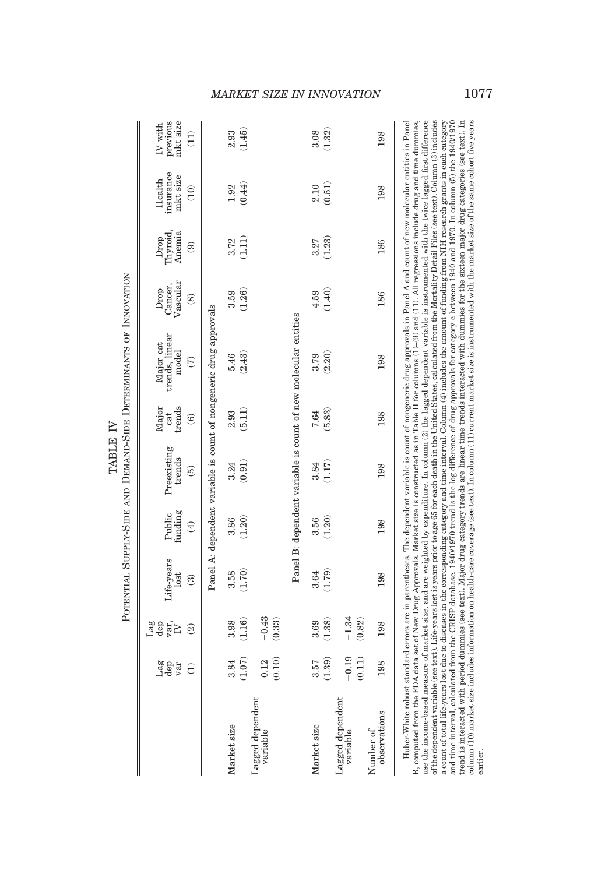Potexty 41. Street x-Street And DeMAND-Stpe Determinants of Innovation DETERMINANTS OF INNOVATION TABLE IV DEMAND-SIDE TABLE IV POTENTIAL SUPPLY-SIDE AND

B, computed from the FDA data set of New Drug Approvals. Market size is constructed as in Table II for columns  $(1)$ –(9) and  $(11)$ . All regressions include drug and time dummies, use the income-based measure of market size, and are weighted by expenditure. In column (2) the lagged dependent variable is instrumented with the twice lagged first difference of the dependent variable (see text). Column a count of total life-years lost due to diseases in the corresponding category and time interval. Column (4) includes the amount of funding from NH research grants in each category column (10) market size includes information on health-care coverage (see text). In column (11) current market size is instrumented with the market size of the same cobort five years Huber-White robust standard errors are in parentheses. The dependent variable is count of nongeneric drug approvals in Panel A and count of new molecular entities in Panel Huber-White robust standard errors are in parentheses. The dependent variable is count of nongeneric drug approvals in Panel A and count of new molecular entities in Panel a count of total life-years lost due to diseases in the corresponding category and time interval. Column (4) includes the amount of funding from NIH research grants in each category and time interval, calculated from the CRISP database. 1940/1970 trend is the log difference of drug approvals for category c between 1940 and 1970. In column (5) the 1940/1970<br>trend is interacted with period dummies (see trend is interacted with period dummies (see text). Major drug category trends are linear time trends interacted with dummies for the sixteen major drug categories (see text). In B, computed from the FDA data set of New Drug Approvals. Market size is constructed as in Table II for columns (1)–(9) and (11). All regressions include drug and time dummies, use the income-based measure of market size, and are weighted by expenditure. In column (2) the lagged dependent variable is instrumented with the twice lagged first difference of the dependent variable (see text). Life-years lost is years prior to age 65 for each death in the United States, calculated from the Mortality Detail Files (see text). Column (3) includes and time interval, calculated from the CRISP database. 1940/1970 trend is the log difference of drug approvals for category c between 1940 and 1970. In column (5) the 1940/1970 column (10) market size includes information on health-care coverage (see text). In column (11) current market size is instrumented with the market size of the same cohort five years earlier.

# *MARKET SIZE IN INNOVATION* 1077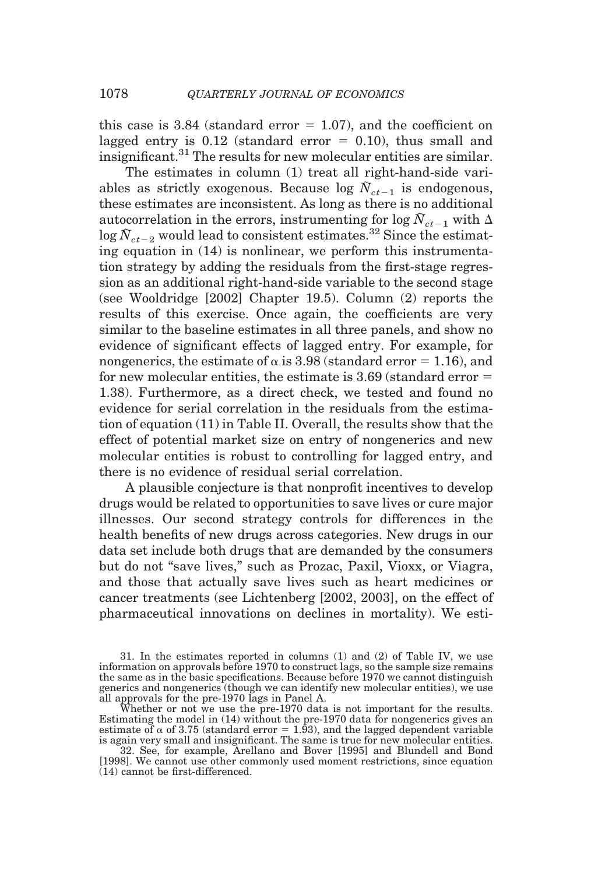this case is  $3.84$  (standard error  $= 1.07$ ), and the coefficient on lagged entry is  $0.12$  (standard error = 0.10), thus small and insignificant.31 The results for new molecular entities are similar.

The estimates in column (1) treat all right-hand-side variables as strictly exogenous. Because  $\log \tilde{N}_{ct-1}$  is endogenous, these estimates are inconsistent. As long as there is no additional autocorrelation in the errors, instrumenting for log  $\tilde{N}_{ct-1}$  with  $\Delta$  $\log \tilde{N}_{ct-2}$  would lead to consistent estimates.<sup>32</sup> Since the estimating equation in (14) is nonlinear, we perform this instrumentation strategy by adding the residuals from the first-stage regression as an additional right-hand-side variable to the second stage (see Wooldridge [2002] Chapter 19.5). Column (2) reports the results of this exercise. Once again, the coefficients are very similar to the baseline estimates in all three panels, and show no evidence of significant effects of lagged entry. For example, for nongenerics, the estimate of  $\alpha$  is 3.98 (standard error = 1.16), and for new molecular entities, the estimate is 3.69 (standard error  $=$ 1.38). Furthermore, as a direct check, we tested and found no evidence for serial correlation in the residuals from the estimation of equation (11) in Table II. Overall, the results show that the effect of potential market size on entry of nongenerics and new molecular entities is robust to controlling for lagged entry, and there is no evidence of residual serial correlation.

A plausible conjecture is that nonprofit incentives to develop drugs would be related to opportunities to save lives or cure major illnesses. Our second strategy controls for differences in the health benefits of new drugs across categories. New drugs in our data set include both drugs that are demanded by the consumers but do not "save lives," such as Prozac, Paxil, Vioxx, or Viagra, and those that actually save lives such as heart medicines or cancer treatments (see Lichtenberg [2002, 2003], on the effect of pharmaceutical innovations on declines in mortality). We esti-

Whether or not we use the pre-1970 data is not important for the results. Estimating the model in (14) without the pre-1970 data for nongenerics gives an estimate of  $\alpha$  of 3.75 (standard error = 1.93), and the lagged dependent variable is again very small and insignificant. The same is true for new molecular entities.

32. See, for example, Arellano and Bover [1995] and Blundell and Bond [1998]. We cannot use other commonly used moment restrictions, since equation  $(14)$  cannot be first-differenced.

<sup>31.</sup> In the estimates reported in columns (1) and (2) of Table IV, we use information on approvals before 1970 to construct lags, so the sample size remains the same as in the basic specifications. Because before 1970 we cannot distinguish generics and nongenerics (though we can identify new molecular entities), we use all approvals for the pre-1970 lags in Panel A.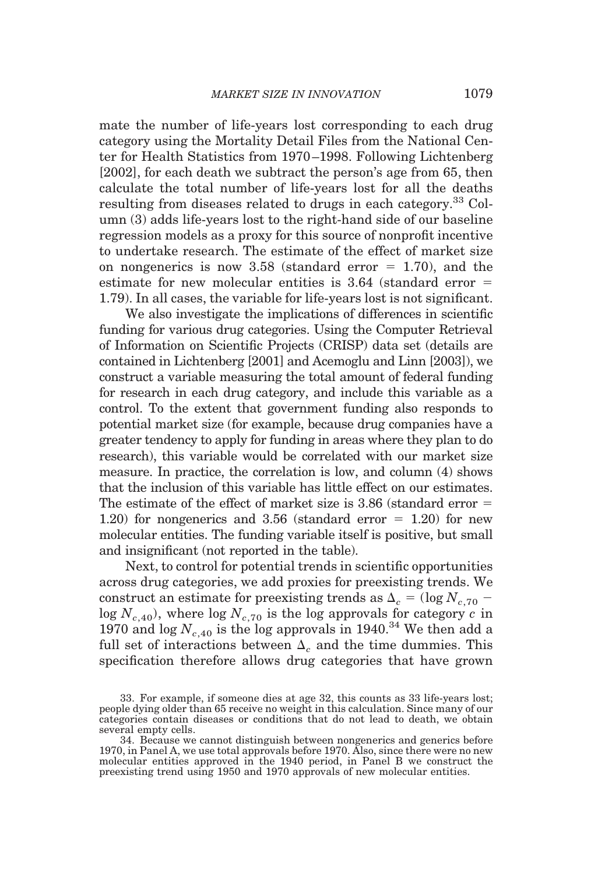mate the number of life-years lost corresponding to each drug category using the Mortality Detail Files from the National Center for Health Statistics from 1970–1998. Following Lichtenberg [2002], for each death we subtract the person's age from 65, then calculate the total number of life-years lost for all the deaths resulting from diseases related to drugs in each category.<sup>33</sup> Column (3) adds life-years lost to the right-hand side of our baseline regression models as a proxy for this source of nonprofit incentive to undertake research. The estimate of the effect of market size on nongenerics is now  $3.58$  (standard error  $= 1.70$ ), and the estimate for new molecular entities is  $3.64$  (standard error  $=$ 1.79). In all cases, the variable for life-years lost is not significant.

We also investigate the implications of differences in scientific funding for various drug categories. Using the Computer Retrieval of Information on Scientific Projects (CRISP) data set (details are contained in Lichtenberg [2001] and Acemoglu and Linn [2003]), we construct a variable measuring the total amount of federal funding for research in each drug category, and include this variable as a control. To the extent that government funding also responds to potential market size (for example, because drug companies have a greater tendency to apply for funding in areas where they plan to do research), this variable would be correlated with our market size measure. In practice, the correlation is low, and column (4) shows that the inclusion of this variable has little effect on our estimates. The estimate of the effect of market size is  $3.86$  (standard error  $=$  $1.20$ ) for nongenerics and  $3.56$  (standard error = 1.20) for new molecular entities. The funding variable itself is positive, but small and insignificant (not reported in the table).

Next, to control for potential trends in scientific opportunities across drug categories, we add proxies for preexisting trends. We  $\text{construct an estimate for preexisting trends as } \Delta_c = (\log N_{c,70} \log N_{c,40}$ , where  $\log N_{c,70}$  is the log approvals for category *c* in 1970 and  $\log N_{c,40}$  is the log approvals in 1940.<sup>34</sup> We then add a full set of interactions between  $\Delta_c$  and the time dummies. This specification therefore allows drug categories that have grown

<sup>33.</sup> For example, if someone dies at age 32, this counts as 33 life-years lost; people dying older than 65 receive no weight in this calculation. Since many of our categories contain diseases or conditions that do not lead to death, we obtain several empty cells.

<sup>34.</sup> Because we cannot distinguish between nongenerics and generics before 1970, in Panel A, we use total approvals before 1970. Also, since there were no new molecular entities approved in the 1940 period, in Panel B we construct the preexisting trend using 1950 and 1970 approvals of new molecular entities.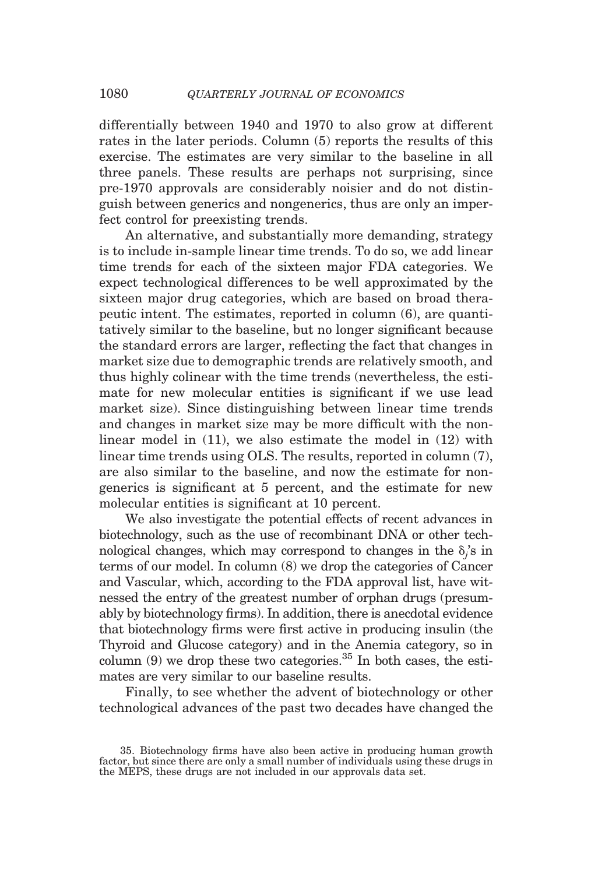differentially between 1940 and 1970 to also grow at different rates in the later periods. Column (5) reports the results of this exercise. The estimates are very similar to the baseline in all three panels. These results are perhaps not surprising, since pre-1970 approvals are considerably noisier and do not distinguish between generics and nongenerics, thus are only an imperfect control for preexisting trends.

An alternative, and substantially more demanding, strategy is to include in-sample linear time trends. To do so, we add linear time trends for each of the sixteen major FDA categories. We expect technological differences to be well approximated by the sixteen major drug categories, which are based on broad therapeutic intent. The estimates, reported in column (6), are quantitatively similar to the baseline, but no longer significant because the standard errors are larger, reflecting the fact that changes in market size due to demographic trends are relatively smooth, and thus highly colinear with the time trends (nevertheless, the estimate for new molecular entities is significant if we use lead market size). Since distinguishing between linear time trends and changes in market size may be more difficult with the nonlinear model in (11), we also estimate the model in (12) with linear time trends using OLS. The results, reported in column (7), are also similar to the baseline, and now the estimate for nongenerics is significant at 5 percent, and the estimate for new molecular entities is significant at 10 percent.

We also investigate the potential effects of recent advances in biotechnology, such as the use of recombinant DNA or other technological changes, which may correspond to changes in the  $\delta_j$ 's in terms of our model. In column (8) we drop the categories of Cancer and Vascular, which, according to the FDA approval list, have witnessed the entry of the greatest number of orphan drugs (presumably by biotechnology firms). In addition, there is anecdotal evidence that biotechnology firms were first active in producing insulin (the Thyroid and Glucose category) and in the Anemia category, so in column  $(9)$  we drop these two categories.<sup>35</sup> In both cases, the estimates are very similar to our baseline results.

Finally, to see whether the advent of biotechnology or other technological advances of the past two decades have changed the

<sup>35.</sup> Biotechnology firms have also been active in producing human growth factor, but since there are only a small number of individuals using these drugs in the MEPS, these drugs are not included in our approvals data set.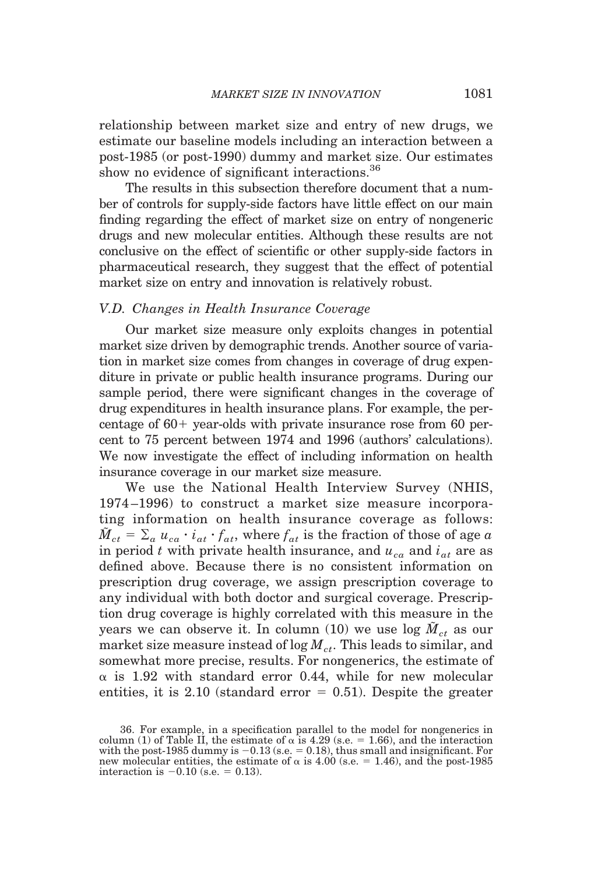relationship between market size and entry of new drugs, we estimate our baseline models including an interaction between a post-1985 (or post-1990) dummy and market size. Our estimates show no evidence of significant interactions.36

The results in this subsection therefore document that a number of controls for supply-side factors have little effect on our main finding regarding the effect of market size on entry of nongeneric drugs and new molecular entities. Although these results are not conclusive on the effect of scientific or other supply-side factors in pharmaceutical research, they suggest that the effect of potential market size on entry and innovation is relatively robust.

### *V.D. Changes in Health Insurance Coverage*

Our market size measure only exploits changes in potential market size driven by demographic trends. Another source of variation in market size comes from changes in coverage of drug expenditure in private or public health insurance programs. During our sample period, there were significant changes in the coverage of drug expenditures in health insurance plans. For example, the percentage of  $60<sup>+</sup>$  year-olds with private insurance rose from 60 percent to 75 percent between 1974 and 1996 (authors' calculations). We now investigate the effect of including information on health insurance coverage in our market size measure.

We use the National Health Interview Survey (NHIS, 1974 –1996) to construct a market size measure incorporating information on health insurance coverage as follows:  $\tilde{M}_{ct} = \sum_{a} u_{ca} \cdot i_{at} \cdot f_{at}$ , where  $f_{at}$  is the fraction of those of age  $a$ in period *t* with private health insurance, and  $u_{ca}$  and  $i_{at}$  are as defined above. Because there is no consistent information on prescription drug coverage, we assign prescription coverage to any individual with both doctor and surgical coverage. Prescription drug coverage is highly correlated with this measure in the years we can observe it. In column (10) we use  $\log \tilde{M}_{ct}$  as our market size measure instead of  $\log M_{ct}$ . This leads to similar, and somewhat more precise, results. For nongenerics, the estimate of  $\alpha$  is 1.92 with standard error 0.44, while for new molecular entities, it is  $2.10$  (standard error  $= 0.51$ ). Despite the greater

<sup>36.</sup> For example, in a specification parallel to the model for nongenerics in column (1) of Table II, the estimate of  $\alpha$  is 4.29 (s.e. = 1.66), and the interaction<br>with the post-1985 dummy is -0.13 (s.e. = 0.18), thus small and insignificant. For new molecular entities, the estimate of  $\alpha$  is 4.00 (s.e. = 1.46), and the post-1985 interaction is  $-0.10$  (s.e.  $= 0.13$ ).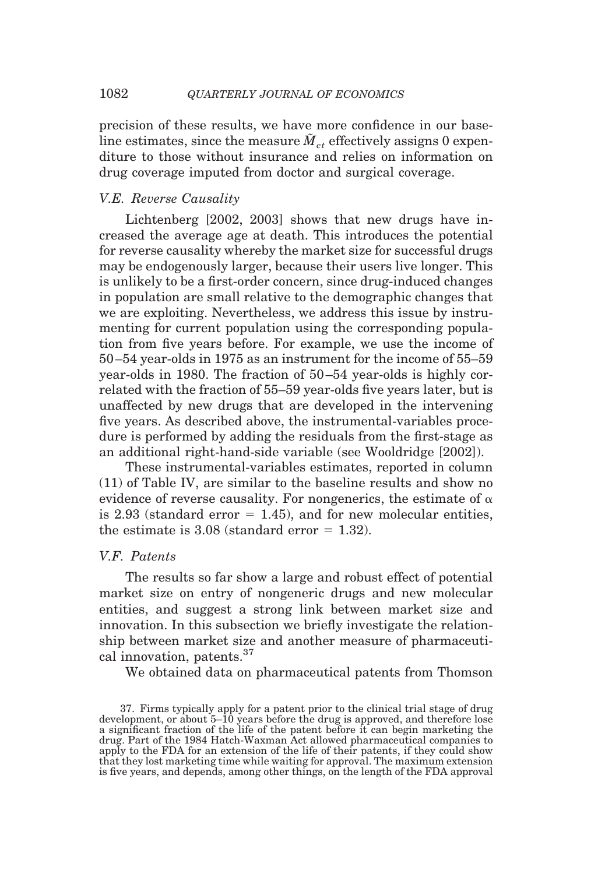precision of these results, we have more confidence in our baseline estimates, since the measure  $\tilde{M}_{ct}$  effectively assigns 0 expenditure to those without insurance and relies on information on drug coverage imputed from doctor and surgical coverage.

# *V.E. Reverse Causality*

Lichtenberg [2002, 2003] shows that new drugs have increased the average age at death. This introduces the potential for reverse causality whereby the market size for successful drugs may be endogenously larger, because their users live longer. This is unlikely to be a first-order concern, since drug-induced changes in population are small relative to the demographic changes that we are exploiting. Nevertheless, we address this issue by instrumenting for current population using the corresponding population from five years before. For example, we use the income of 50–54 year-olds in 1975 as an instrument for the income of 55–59 year-olds in 1980. The fraction of 50–54 year-olds is highly correlated with the fraction of 55–59 year-olds five years later, but is unaffected by new drugs that are developed in the intervening five years. As described above, the instrumental-variables procedure is performed by adding the residuals from the first-stage as an additional right-hand-side variable (see Wooldridge [2002]).

These instrumental-variables estimates, reported in column (11) of Table IV, are similar to the baseline results and show no evidence of reverse causality. For nongenerics, the estimate of  $\alpha$ is  $2.93$  (standard error  $= 1.45$ ), and for new molecular entities, the estimate is  $3.08$  (standard error  $= 1.32$ ).

### *V.F. Patents*

The results so far show a large and robust effect of potential market size on entry of nongeneric drugs and new molecular entities, and suggest a strong link between market size and innovation. In this subsection we briefly investigate the relationship between market size and another measure of pharmaceutical innovation, patents.<sup>37</sup>

We obtained data on pharmaceutical patents from Thomson

<sup>37.</sup> Firms typically apply for a patent prior to the clinical trial stage of drug development, or about 5–10 years before the drug is approved, and therefore lose a significant fraction of the life of the patent before it can begin marketing the drug. Part of the 1984 Hatch-Waxman Act allowed pharmaceutical companies to apply to the FDA for an extension of the life of their patents, if they could show that they lost marketing time while waiting for approval. The maximum extension is five years, and depends, among other things, on the length of the FDA approval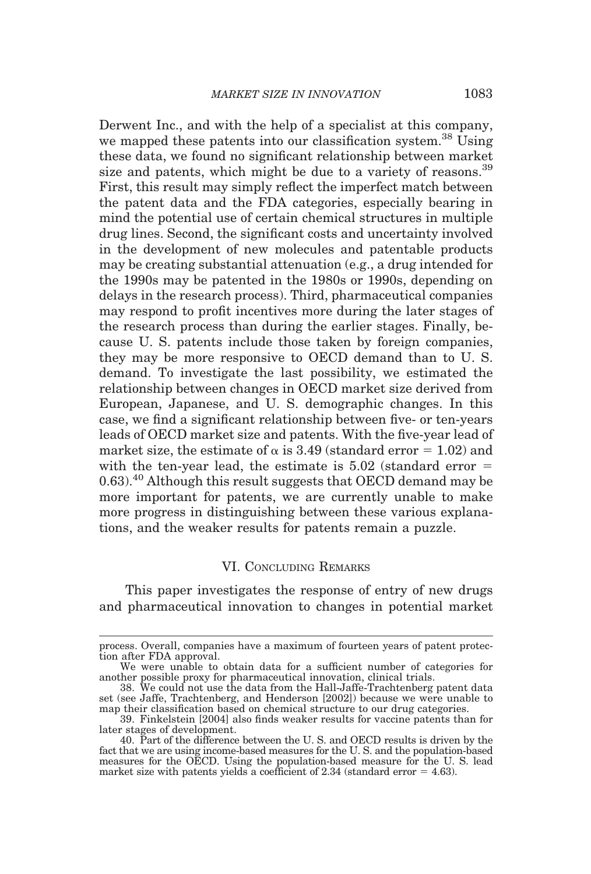Derwent Inc., and with the help of a specialist at this company, we mapped these patents into our classification system.<sup>38</sup> Using these data, we found no significant relationship between market size and patents, which might be due to a variety of reasons.<sup>39</sup> First, this result may simply reflect the imperfect match between the patent data and the FDA categories, especially bearing in mind the potential use of certain chemical structures in multiple drug lines. Second, the significant costs and uncertainty involved in the development of new molecules and patentable products may be creating substantial attenuation (e.g., a drug intended for the 1990s may be patented in the 1980s or 1990s, depending on delays in the research process). Third, pharmaceutical companies may respond to profit incentives more during the later stages of the research process than during the earlier stages. Finally, because U. S. patents include those taken by foreign companies, they may be more responsive to OECD demand than to U. S. demand. To investigate the last possibility, we estimated the relationship between changes in OECD market size derived from European, Japanese, and U. S. demographic changes. In this case, we find a significant relationship between five- or ten-years leads of OECD market size and patents. With the five-year lead of market size, the estimate of  $\alpha$  is 3.49 (standard error = 1.02) and with the ten-year lead, the estimate is  $5.02$  (standard error  $=$  $0.63$ .<sup>40</sup> Although this result suggests that OECD demand may be more important for patents, we are currently unable to make more progress in distinguishing between these various explanations, and the weaker results for patents remain a puzzle.

# VI. CONCLUDING REMARKS

This paper investigates the response of entry of new drugs and pharmaceutical innovation to changes in potential market

process. Overall, companies have a maximum of fourteen years of patent protection after FDA approval.

We were unable to obtain data for a sufficient number of categories for another possible proxy for pharmaceutical innovation, clinical trials.

<sup>38.</sup> We could not use the data from the Hall-Jaffe-Trachtenberg patent data set (see Jaffe, Trachtenberg, and Henderson [2002]) because we were unable to map their classification based on chemical structure to our drug categories.

<sup>39.</sup> Finkelstein [2004] also finds weaker results for vaccine patents than for later stages of development.

<sup>40.</sup> Part of the difference between the U. S. and OECD results is driven by the fact that we are using income-based measures for the U. S. and the population-based measures for the OECD. Using the population-based measure for the U. S. lead market size with patents yields a coefficient of  $2.34$  (standard error  $= 4.63$ ).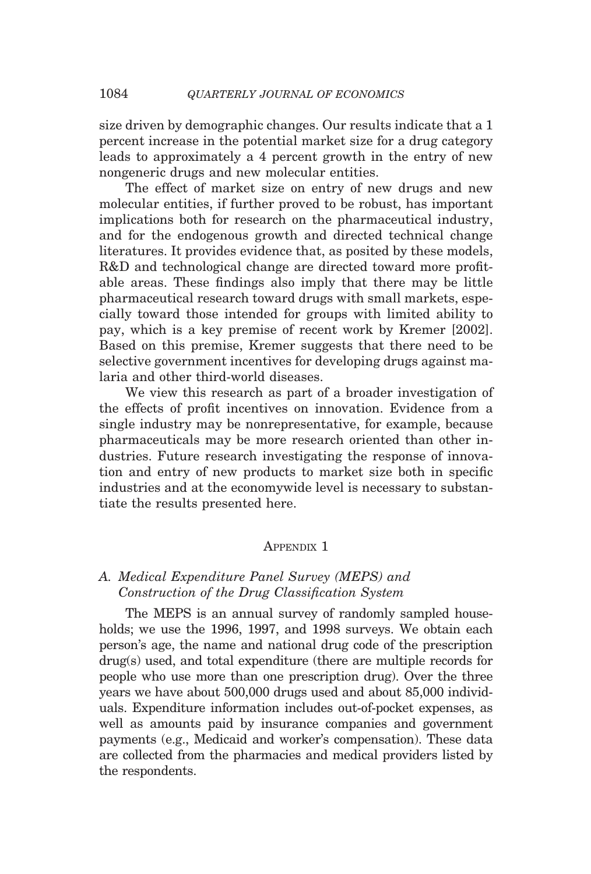size driven by demographic changes. Our results indicate that a 1 percent increase in the potential market size for a drug category leads to approximately a 4 percent growth in the entry of new nongeneric drugs and new molecular entities.

The effect of market size on entry of new drugs and new molecular entities, if further proved to be robust, has important implications both for research on the pharmaceutical industry, and for the endogenous growth and directed technical change literatures. It provides evidence that, as posited by these models, R&D and technological change are directed toward more profitable areas. These findings also imply that there may be little pharmaceutical research toward drugs with small markets, especially toward those intended for groups with limited ability to pay, which is a key premise of recent work by Kremer [2002]. Based on this premise, Kremer suggests that there need to be selective government incentives for developing drugs against malaria and other third-world diseases.

We view this research as part of a broader investigation of the effects of profit incentives on innovation. Evidence from a single industry may be nonrepresentative, for example, because pharmaceuticals may be more research oriented than other industries. Future research investigating the response of innovation and entry of new products to market size both in specific industries and at the economywide level is necessary to substantiate the results presented here.

## APPENDIX 1

# *A. Medical Expenditure Panel Survey (MEPS) and Construction of the Drug Classification System*

The MEPS is an annual survey of randomly sampled households; we use the 1996, 1997, and 1998 surveys. We obtain each person's age, the name and national drug code of the prescription drug(s) used, and total expenditure (there are multiple records for people who use more than one prescription drug). Over the three years we have about 500,000 drugs used and about 85,000 individuals. Expenditure information includes out-of-pocket expenses, as well as amounts paid by insurance companies and government payments (e.g., Medicaid and worker's compensation). These data are collected from the pharmacies and medical providers listed by the respondents.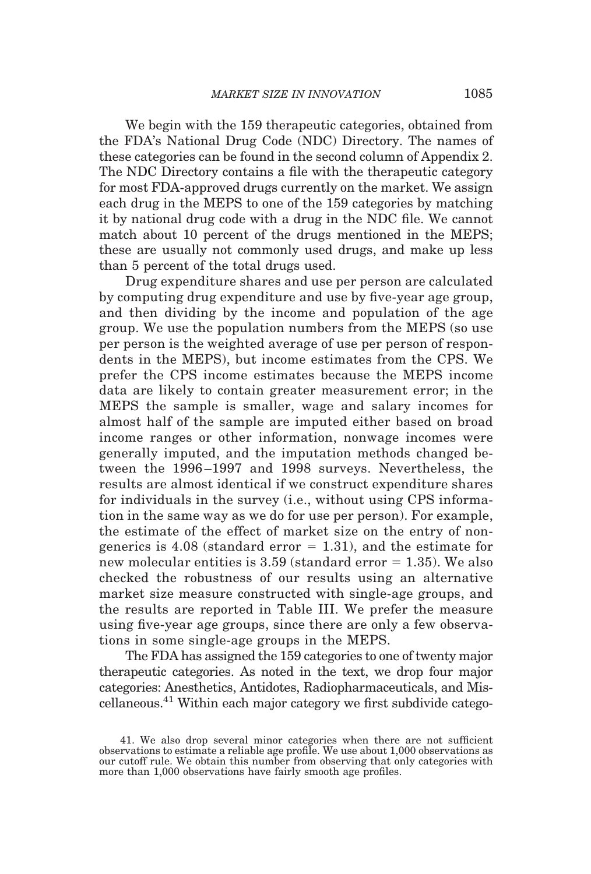We begin with the 159 therapeutic categories, obtained from the FDA's National Drug Code (NDC) Directory. The names of these categories can be found in the second column of Appendix 2. The NDC Directory contains a file with the therapeutic category for most FDA-approved drugs currently on the market. We assign each drug in the MEPS to one of the 159 categories by matching it by national drug code with a drug in the NDC file. We cannot match about 10 percent of the drugs mentioned in the MEPS; these are usually not commonly used drugs, and make up less than 5 percent of the total drugs used.

Drug expenditure shares and use per person are calculated by computing drug expenditure and use by five-year age group, and then dividing by the income and population of the age group. We use the population numbers from the MEPS (so use per person is the weighted average of use per person of respondents in the MEPS), but income estimates from the CPS. We prefer the CPS income estimates because the MEPS income data are likely to contain greater measurement error; in the MEPS the sample is smaller, wage and salary incomes for almost half of the sample are imputed either based on broad income ranges or other information, nonwage incomes were generally imputed, and the imputation methods changed between the 1996 –1997 and 1998 surveys. Nevertheless, the results are almost identical if we construct expenditure shares for individuals in the survey (i.e., without using CPS information in the same way as we do for use per person). For example, the estimate of the effect of market size on the entry of nongenerics is  $4.08$  (standard error  $= 1.31$ ), and the estimate for new molecular entities is  $3.59$  (standard error = 1.35). We also checked the robustness of our results using an alternative market size measure constructed with single-age groups, and the results are reported in Table III. We prefer the measure using five-year age groups, since there are only a few observations in some single-age groups in the MEPS.

The FDA has assigned the 159 categories to one of twenty major therapeutic categories. As noted in the text, we drop four major categories: Anesthetics, Antidotes, Radiopharmaceuticals, and Miscellaneous.41 Within each major category we first subdivide catego-

<sup>41.</sup> We also drop several minor categories when there are not sufficient observations to estimate a reliable age profile. We use about 1,000 observations as our cutoff rule. We obtain this number from observing that only categories with more than 1,000 observations have fairly smooth age profiles.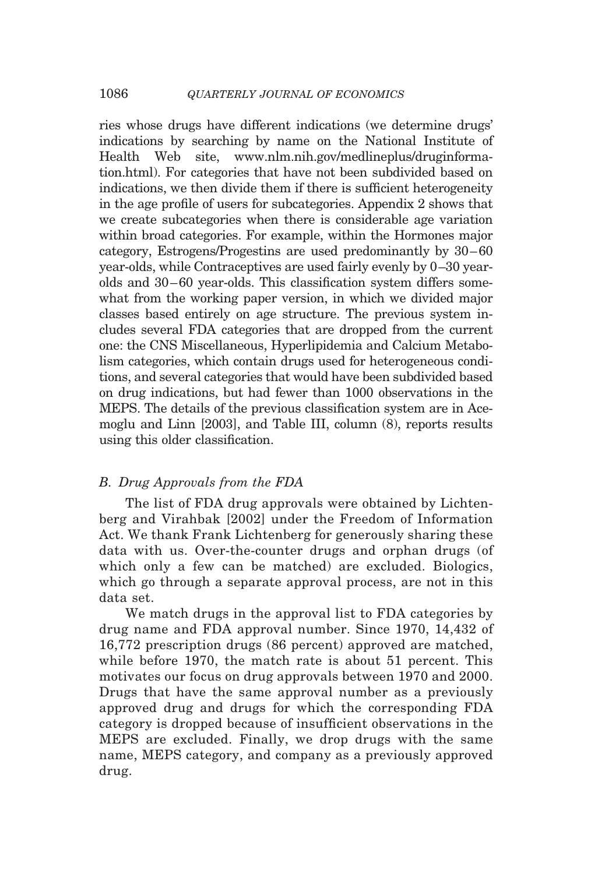ries whose drugs have different indications (we determine drugs' indications by searching by name on the National Institute of Health Web site, www.nlm.nih.gov/medlineplus/druginformation.html). For categories that have not been subdivided based on indications, we then divide them if there is sufficient heterogeneity in the age profile of users for subcategories. Appendix 2 shows that we create subcategories when there is considerable age variation within broad categories. For example, within the Hormones major category, Estrogens/Progestins are used predominantly by 30–60 year-olds, while Contraceptives are used fairly evenly by 0–30 yearolds and 30–60 year-olds. This classification system differs somewhat from the working paper version, in which we divided major classes based entirely on age structure. The previous system includes several FDA categories that are dropped from the current one: the CNS Miscellaneous, Hyperlipidemia and Calcium Metabolism categories, which contain drugs used for heterogeneous conditions, and several categories that would have been subdivided based on drug indications, but had fewer than 1000 observations in the MEPS. The details of the previous classification system are in Acemoglu and Linn [2003], and Table III, column (8), reports results using this older classification.

# *B. Drug Approvals from the FDA*

The list of FDA drug approvals were obtained by Lichtenberg and Virahbak [2002] under the Freedom of Information Act. We thank Frank Lichtenberg for generously sharing these data with us. Over-the-counter drugs and orphan drugs (of which only a few can be matched) are excluded. Biologics, which go through a separate approval process, are not in this data set.

We match drugs in the approval list to FDA categories by drug name and FDA approval number. Since 1970, 14,432 of 16,772 prescription drugs (86 percent) approved are matched, while before 1970, the match rate is about 51 percent. This motivates our focus on drug approvals between 1970 and 2000. Drugs that have the same approval number as a previously approved drug and drugs for which the corresponding FDA category is dropped because of insufficient observations in the MEPS are excluded. Finally, we drop drugs with the same name, MEPS category, and company as a previously approved drug.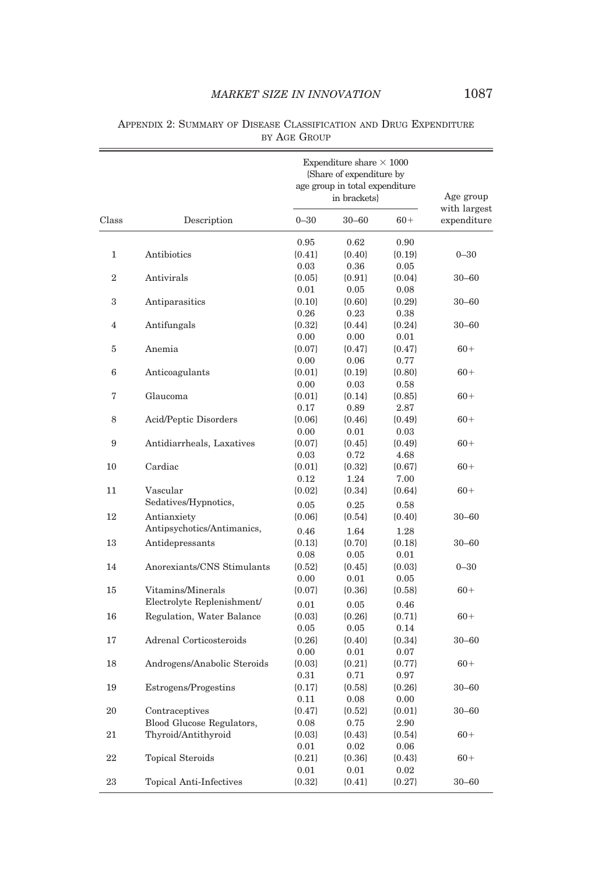# *MARKET SIZE IN INNOVATION* 1087

|                |                              | Expenditure share $\times$ 1000<br>{Share of expenditure by<br>age group in total expenditure<br>in brackets |           |            | Age group                   |
|----------------|------------------------------|--------------------------------------------------------------------------------------------------------------|-----------|------------|-----------------------------|
| Class          | Description                  | $0 - 30$                                                                                                     | $30 - 60$ | $60+$      | with largest<br>expenditure |
|                |                              | 0.95                                                                                                         | 0.62      | 0.90       |                             |
| $\mathbf{1}$   | Antibiotics                  | ${0.41}$                                                                                                     | ${0.40}$  | ${0.19}$   | $0 - 30$                    |
|                |                              | 0.03                                                                                                         | 0.36      | 0.05       |                             |
| $\overline{2}$ | Antivirals                   | ${0.05}$                                                                                                     | ${0.91}$  | ${0.04}$   | $30 - 60$                   |
|                |                              | 0.01                                                                                                         | 0.05      | 0.08       |                             |
| 3              | Antiparasitics               | ${0.10}$                                                                                                     | ${0.60}$  | ${0.29}$   | $30 - 60$                   |
|                |                              | 0.26                                                                                                         | 0.23      | 0.38       |                             |
| $\overline{4}$ | Antifungals                  | ${0.32}$                                                                                                     | ${0.44}$  | ${0.24}$   | $30 - 60$                   |
|                |                              | 0.00                                                                                                         | 0.00      | 0.01       |                             |
| 5              | Anemia                       | ${0.07}$                                                                                                     | ${0.47}$  | ${0.47}$   | $60+$                       |
|                |                              | 0.00                                                                                                         | 0.06      | 0.77       |                             |
| 6              | Anticoagulants               | ${0.01}$                                                                                                     | ${0.19}$  | ${0.80}$   | $60+$                       |
|                |                              | 0.00                                                                                                         | 0.03      | 0.58       |                             |
| 7              | Glaucoma                     | ${0.01}$                                                                                                     | ${0.14}$  | ${0.85}$   | $60+$                       |
|                |                              | 0.17                                                                                                         | 0.89      | 2.87       |                             |
| 8              | <b>Acid/Peptic Disorders</b> | ${0.06}$                                                                                                     | ${0.46}$  | ${0.49}$   | $60+$                       |
|                |                              | 0.00                                                                                                         | 0.01      | 0.03       |                             |
| 9              | Antidiarrheals, Laxatives    | ${0.07}$                                                                                                     | ${0.45}$  | ${0.49}$   | $60+$                       |
|                |                              | 0.03                                                                                                         | 0.72      | 4.68       |                             |
| 10             | Cardiac                      | ${0.01}$                                                                                                     | ${0.32}$  | ${0.67}$   | $60+$                       |
|                |                              | 0.12                                                                                                         | 1.24      | 7.00       |                             |
| 11             | Vascular                     | ${0.02}$                                                                                                     | ${0.34}$  | ${0.64}$   | $60+$                       |
|                | Sedatives/Hypnotics,         | 0.05                                                                                                         | 0.25      | 0.58       |                             |
| 12             | Antianxiety                  | ${0.06}$                                                                                                     | ${0.54}$  | ${0.40}$   | $30 - 60$                   |
|                | Antipsychotics/Antimanics,   | 0.46                                                                                                         | 1.64      | 1.28       |                             |
| 13             | Antidepressants              | ${0.13}$                                                                                                     | ${0.70}$  | ${0.18}$   | $30 - 60$                   |
|                |                              | 0.08                                                                                                         | 0.05      | 0.01       |                             |
| 14             | Anorexiants/CNS Stimulants   | ${0.52}$                                                                                                     | ${0.45}$  | ${0.03}$   | $0 - 30$                    |
|                |                              |                                                                                                              |           |            |                             |
| 15             | Vitamins/Minerals            | 0.00                                                                                                         | 0.01      | 0.05       | $60+$                       |
|                |                              | ${0.07}$                                                                                                     | ${0.36}$  | ${0.58}$   |                             |
|                | Electrolyte Replenishment/   | 0.01                                                                                                         | 0.05      | 0.46       |                             |
| 16             | Regulation, Water Balance    | ${0.03}$                                                                                                     | ${0.26}$  | $\{0.71\}$ | $60+$                       |
|                |                              | 0.05                                                                                                         | 0.05      | 0.14       |                             |
| 17             | Adrenal Corticosteroids      | ${0.26}$                                                                                                     | ${0.40}$  | ${0.34}$   | $30 - 60$                   |
|                |                              | 0.00                                                                                                         | 0.01      | 0.07       |                             |
| 18             | Androgens/Anabolic Steroids  | ${0.03}$                                                                                                     | ${0.21}$  | ${0.77}$   | $60+$                       |
|                |                              | 0.31                                                                                                         | 0.71      | 0.97       |                             |
| 19             | Estrogens/Progestins         | ${0.17}$                                                                                                     | ${0.58}$  | ${0.26}$   | $30 - 60$                   |
|                |                              | 0.11                                                                                                         | 0.08      | 0.00       |                             |
| 20             | Contraceptives               | ${0.47}$                                                                                                     | ${0.52}$  | ${0.01}$   | $30 - 60$                   |
|                | Blood Glucose Regulators,    | 0.08                                                                                                         | 0.75      | 2.90       |                             |
| 21             | Thyroid/Antithyroid          | ${0.03}$                                                                                                     | ${0.43}$  | ${0.54}$   | $60+$                       |
|                |                              | 0.01                                                                                                         | 0.02      | 0.06       |                             |
| 22             | <b>Topical Steroids</b>      | ${0.21}$                                                                                                     | ${0.36}$  | ${0.43}$   | $60+$                       |
|                |                              | 0.01                                                                                                         | 0.01      | 0.02       |                             |
| 23             | Topical Anti-Infectives      | ${0.32}$                                                                                                     | ${0.41}$  | ${0.27}$   | $30 - 60$                   |

APPENDIX 2: SUMMARY OF DISEASE CLASSIFICATION AND DRUG EXPENDITURE BY AGE GROUP

 $\overline{\phantom{0}}$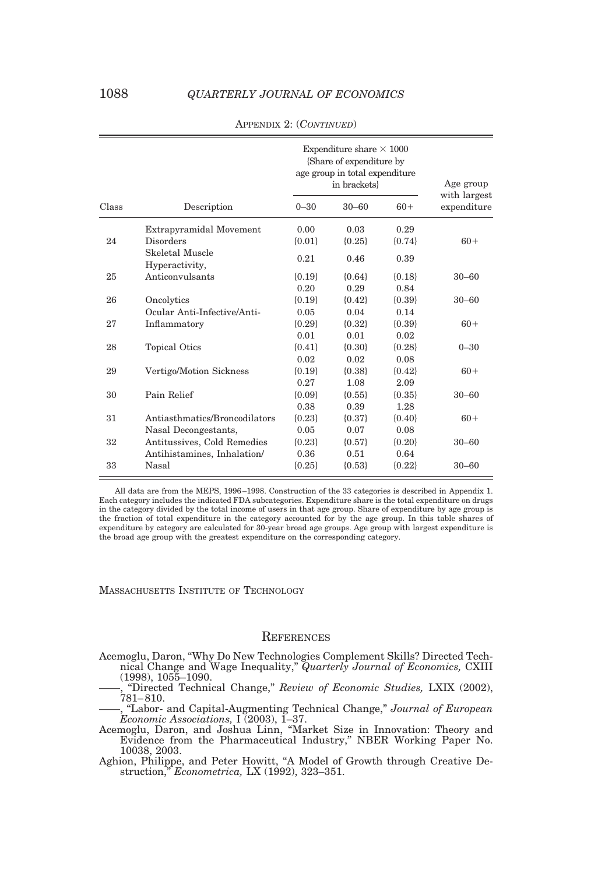|       | Description                       | Expenditure share $\times$ 1000<br>Share of expenditure by<br>age group in total expenditure<br>in brackets |           |          | Age group<br>with largest |
|-------|-----------------------------------|-------------------------------------------------------------------------------------------------------------|-----------|----------|---------------------------|
| Class |                                   | $0 - 30$                                                                                                    | $30 - 60$ | $60+$    | expenditure               |
|       | Extrapyramidal Movement           | 0.00                                                                                                        | 0.03      | 0.29     |                           |
| 24    | Disorders                         | ${0.01}$                                                                                                    | ${0.25}$  | ${0.74}$ | $60+$                     |
|       | Skeletal Muscle<br>Hyperactivity, | 0.21                                                                                                        | 0.46      | 0.39     |                           |
| 25    | Anticonvulsants                   | ${0.19}$                                                                                                    | ${0.64}$  | ${0.18}$ | $30 - 60$                 |
|       |                                   | 0.20                                                                                                        | 0.29      | 0.84     |                           |
| 26    | Oncolytics                        | ${0.19}$                                                                                                    | ${0.42}$  | ${0.39}$ | $30 - 60$                 |
|       | Ocular Anti-Infective/Anti-       | 0.05                                                                                                        | 0.04      | 0.14     |                           |
| 27    | Inflammatory                      | ${0.29}$                                                                                                    | ${0.32}$  | ${0.39}$ | $60+$                     |
|       |                                   | 0.01                                                                                                        | 0.01      | 0.02     |                           |
| 28    | <b>Topical Otics</b>              | ${0.41}$                                                                                                    | ${0.30}$  | ${0.28}$ | $0 - 30$                  |
|       |                                   | 0.02                                                                                                        | 0.02      | 0.08     |                           |
| 29    | Vertigo/Motion Sickness           | ${0.19}$                                                                                                    | ${0.38}$  | ${0.42}$ | $60+$                     |
|       |                                   | 0.27                                                                                                        | 1.08      | 2.09     |                           |
| 30    | Pain Relief                       | ${0.09}$                                                                                                    | ${0.55}$  | ${0.35}$ | $30 - 60$                 |
|       |                                   | 0.38                                                                                                        | 0.39      | 1.28     |                           |
| 31    | Antiasthmatics/Broncodilators     | ${0.23}$                                                                                                    | ${0.37}$  | ${0.40}$ | $60+$                     |
|       | Nasal Decongestants,              | 0.05                                                                                                        | 0.07      | 0.08     |                           |
| 32    | Antitussives, Cold Remedies       | ${0.23}$                                                                                                    | ${0.57}$  | ${0.20}$ | $30 - 60$                 |
|       | Antihistamines, Inhalation/       | 0.36                                                                                                        | 0.51      | 0.64     |                           |
| 33    | Nasal                             | ${0.25}$                                                                                                    | ${0.53}$  | ${0.22}$ | $30 - 60$                 |

APPENDIX 2: (*CONTINUED*)

All data are from the MEPS, 1996–1998. Construction of the 33 categories is described in Appendix 1. Each category includes the indicated FDA subcategories. Expenditure share is the total expenditure on drugs in the category divided by the total income of users in that age group. Share of expenditure by age group is the fraction of total expenditure in the category accounted for by the age group. In this table shares of expenditure by category are calculated for 30-year broad age groups. Age group with largest expenditure is the broad age group with the greatest expenditure on the corresponding category.

MASSACHUSETTS INSTITUTE OF TECHNOLOGY

### **REFERENCES**

Acemoglu, Daron, "Why Do New Technologies Complement Skills? Directed Technical Change and Wage Inequality," *Quarterly Journal of Economics,* CXIII (1998), 1055–1090.

——, "Directed Technical Change," *Review of Economic Studies,* LXIX (2002), 781–810.

——, "Labor- and Capital-Augmenting Technical Change," *Journal of European Economic Associations,* I (2003), 1–37.

Acemoglu, Daron, and Joshua Linn, "Market Size in Innovation: Theory and Evidence from the Pharmaceutical Industry," NBER Working Paper No. 10038, 2003.

Aghion, Philippe, and Peter Howitt, "A Model of Growth through Creative Destruction," *Econometrica,* LX (1992), 323–351.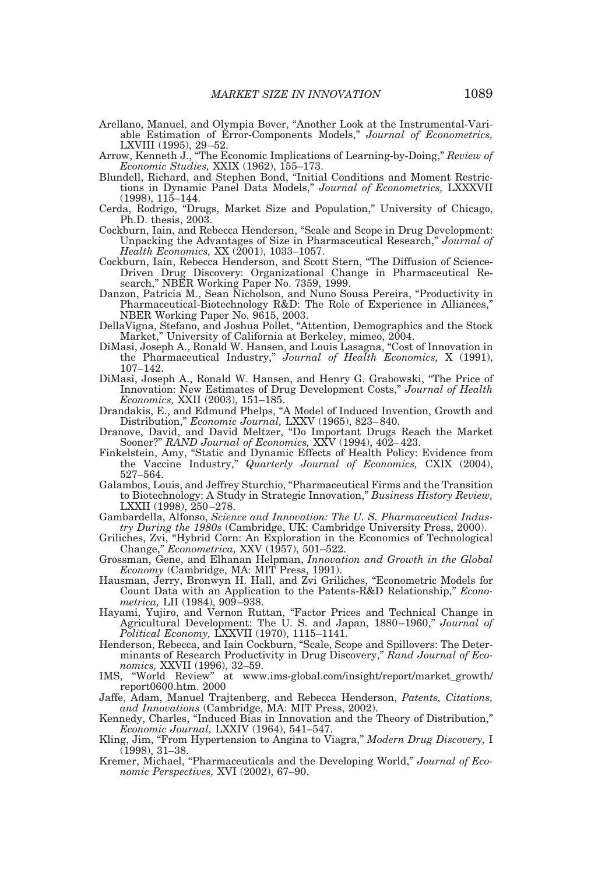- Arellano, Manuel, and Olympia Bover, "Another Look at the Instrumental-Variable Estimation of Error-Components Models," *Journal of Econometrics,* LXVIII (1995), 29–52.
- Arrow, Kenneth J., "The Economic Implications of Learning-by-Doing," *Review of Economic Studies,* XXIX (1962), 155–173.
- Blundell, Richard, and Stephen Bond, "Initial Conditions and Moment Restrictions in Dynamic Panel Data Models," *Journal of Econometrics,* LXXXVII (1998), 115–144.
- Cerda, Rodrigo, "Drugs, Market Size and Population," University of Chicago, Ph.D. thesis, 2003.
- Cockburn, Iain, and Rebecca Henderson, "Scale and Scope in Drug Development: Unpacking the Advantages of Size in Pharmaceutical Research," *Journal of Health Economics,* XX (2001), 1033–1057.
- Cockburn, Iain, Rebecca Henderson, and Scott Stern, "The Diffusion of Science-Driven Drug Discovery: Organizational Change in Pharmaceutical Research," NBER Working Paper No. 7359, 1999.
- Danzon, Patricia M., Sean Nicholson, and Nuno Sousa Pereira, "Productivity in Pharmaceutical-Biotechnology R&D: The Role of Experience in Alliances," NBER Working Paper No. 9615, 2003.
- DellaVigna, Stefano, and Joshua Pollet, "Attention, Demographics and the Stock Market," University of California at Berkeley, mimeo, 2004.
- DiMasi, Joseph A., Ronald W. Hansen, and Louis Lasagna, "Cost of Innovation in the Pharmaceutical Industry," *Journal of Health Economics,* X (1991), 107–142.
- DiMasi, Joseph A., Ronald W. Hansen, and Henry G. Grabowski, "The Price of Innovation: New Estimates of Drug Development Costs," *Journal of Health Economics,* XXII (2003), 151–185.
- Drandakis, E., and Edmund Phelps, "A Model of Induced Invention, Growth and Distribution," *Economic Journal,* LXXV (1965), 823–840.
- Dranove, David, and David Meltzer, "Do Important Drugs Reach the Market Sooner?" *RAND Journal of Economics,* XXV (1994), 402–423.
- Finkelstein, Amy, "Static and Dynamic Effects of Health Policy: Evidence from the Vaccine Industry," *Quarterly Journal of Economics,* CXIX (2004), 527–564.
- Galambos, Louis, and Jeffrey Sturchio, "Pharmaceutical Firms and the Transition to Biotechnology: A Study in Strategic Innovation," *Business History Review,* LXXII (1998), 250–278.

Gambardella, Alfonso, *Science and Innovation: The U. S. Pharmaceutical Industry During the 1980s* (Cambridge, UK: Cambridge University Press, 2000).

- Griliches, Zvi, "Hybrid Corn: An Exploration in the Economics of Technological Change," *Econometrica,* XXV (1957), 501–522.
- Grossman, Gene, and Elhanan Helpman, *Innovation and Growth in the Global Economy* (Cambridge, MA: MIT Press, 1991).
- Hausman, Jerry, Bronwyn H. Hall, and Zvi Griliches, "Econometric Models for Count Data with an Application to the Patents-R&D Relationship," *Econometrica,* LII (1984), 909–938.
- Hayami, Yujiro, and Vernon Ruttan, "Factor Prices and Technical Change in Agricultural Development: The U. S. and Japan, 1880–1960," *Journal of Political Economy,* LXXVII (1970), 1115–1141.
- Henderson, Rebecca, and Iain Cockburn, "Scale, Scope and Spillovers: The Determinants of Research Productivity in Drug Discovery," *Rand Journal of Economics,* XXVII (1996), 32–59.
- IMS, "World Review" at www.ims-global.com/insight/report/market\_growth/ report0600.htm. 2000
- Jaffe, Adam, Manuel Trajtenberg, and Rebecca Henderson, *Patents, Citations, and Innovations* (Cambridge, MA: MIT Press, 2002).
- Kennedy, Charles, "Induced Bias in Innovation and the Theory of Distribution," *Economic Journal,* LXXIV (1964), 541–547.
- Kling, Jim, "From Hypertension to Angina to Viagra," *Modern Drug Discovery,* I (1998), 31–38.
- Kremer, Michael, "Pharmaceuticals and the Developing World," *Journal of Economic Perspectives,* XVI (2002), 67–90.